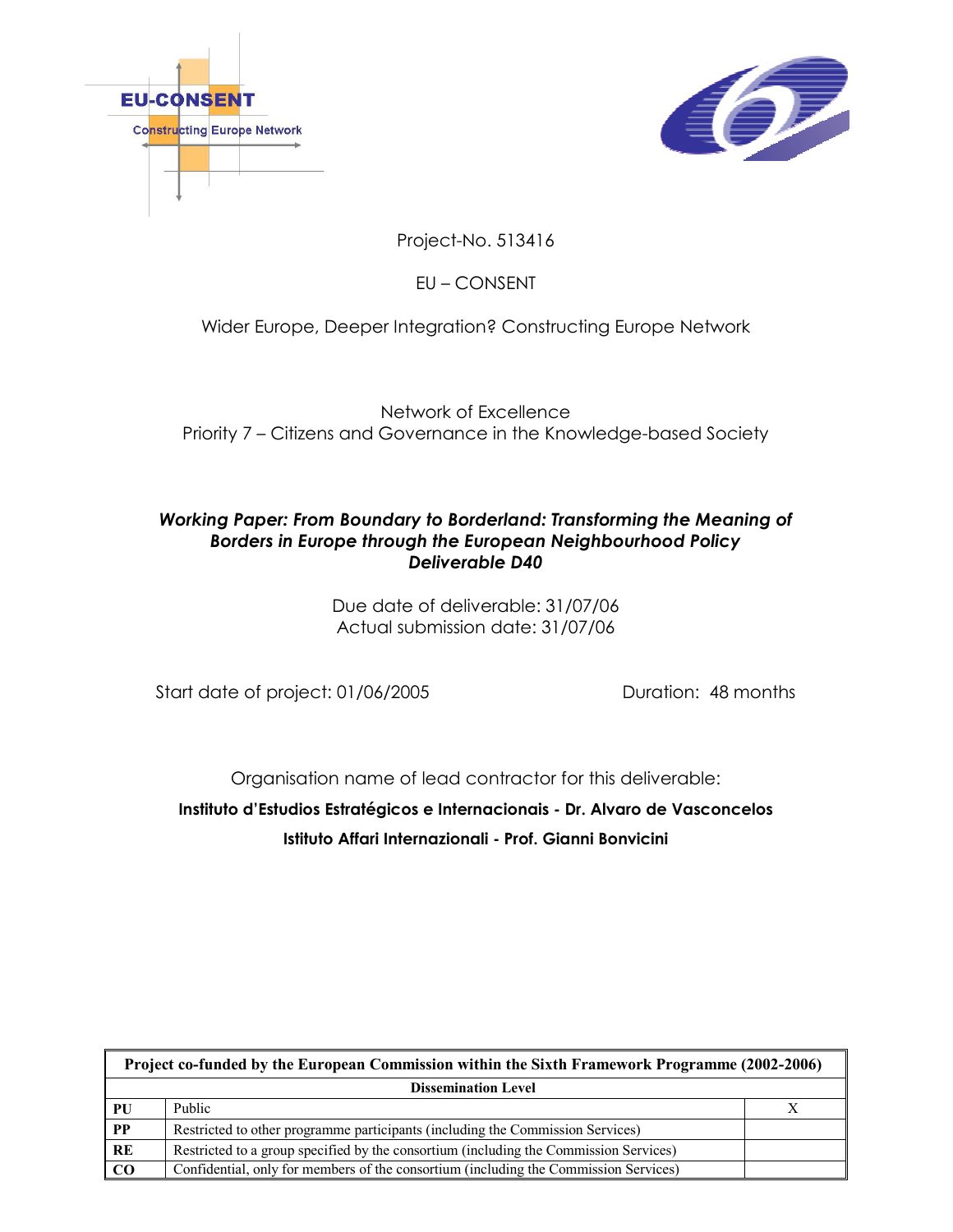



Project-No. 513416

EU – CONSENT

# Wider Europe, Deeper Integration? Constructing Europe Network

Network of Excellence Priority 7 – Citizens and Governance in the Knowledge-based Society

# Working Paper: From Boundary to Borderland: Transforming the Meaning of Borders in Europe through the European Neighbourhood Policy Deliverable D40

Due date of deliverable: 31/07/06 Actual submission date: 31/07/06

Start date of project: 01/06/2005 Duration: 48 months

Organisation name of lead contractor for this deliverable:

Instituto d'Estudios Estratégicos e Internacionais - Dr. Alvaro de Vasconcelos Istituto Affari Internazionali - Prof. Gianni Bonvicini

| Project co-funded by the European Commission within the Sixth Framework Programme (2002-2006) |                                                                                       |  |
|-----------------------------------------------------------------------------------------------|---------------------------------------------------------------------------------------|--|
| <b>Dissemination Level</b>                                                                    |                                                                                       |  |
| PU                                                                                            | Public                                                                                |  |
| PP                                                                                            | Restricted to other programme participants (including the Commission Services)        |  |
| RE                                                                                            | Restricted to a group specified by the consortium (including the Commission Services) |  |
| $\bf CO$                                                                                      | Confidential, only for members of the consortium (including the Commission Services)  |  |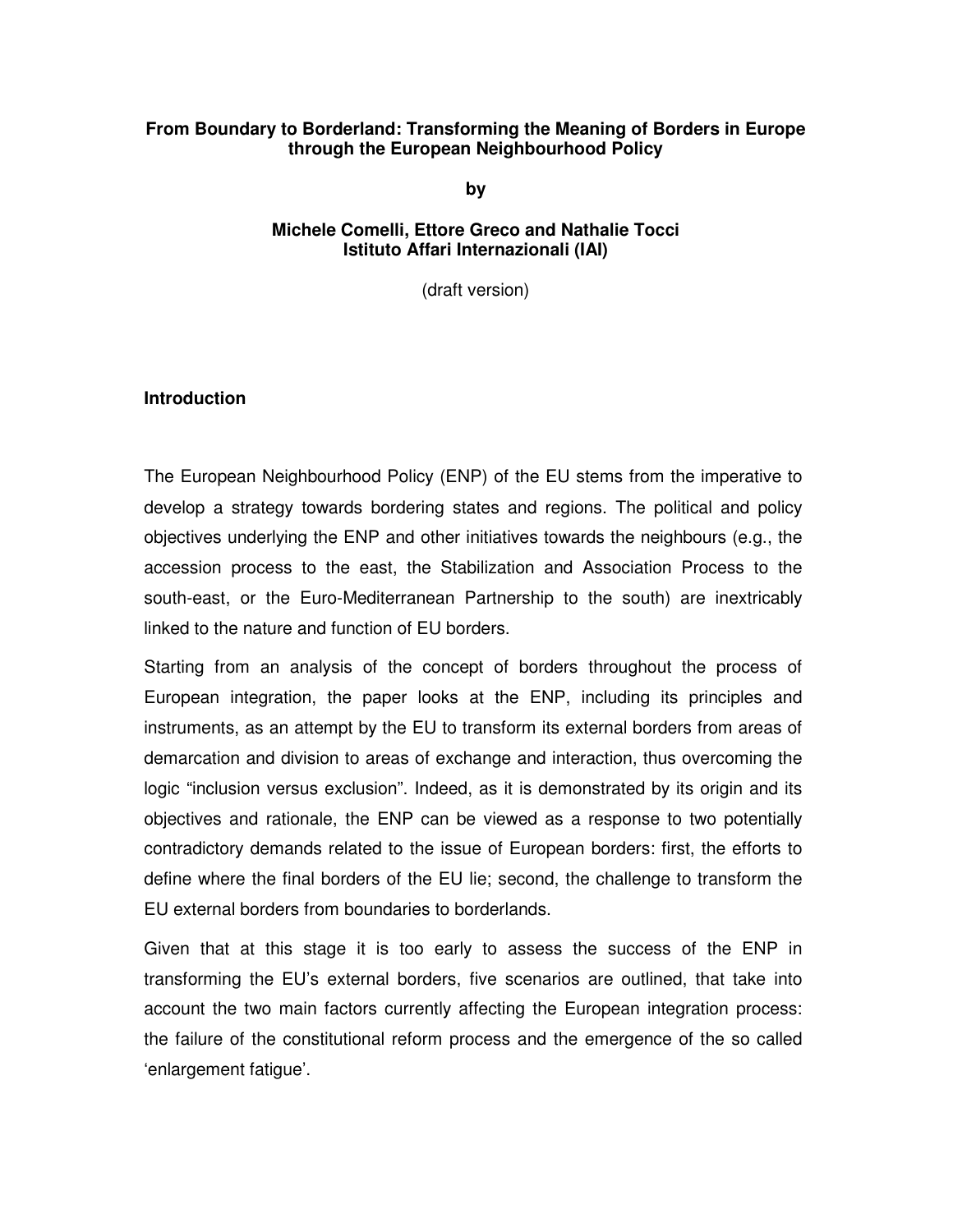## **From Boundary to Borderland: Transforming the Meaning of Borders in Europe through the European Neighbourhood Policy**

**by** 

#### **Michele Comelli, Ettore Greco and Nathalie Tocci Istituto Affari Internazionali (IAI)**

(draft version)

## **Introduction**

The European Neighbourhood Policy (ENP) of the EU stems from the imperative to develop a strategy towards bordering states and regions. The political and policy objectives underlying the ENP and other initiatives towards the neighbours (e.g., the accession process to the east, the Stabilization and Association Process to the south-east, or the Euro-Mediterranean Partnership to the south) are inextricably linked to the nature and function of EU borders.

Starting from an analysis of the concept of borders throughout the process of European integration, the paper looks at the ENP, including its principles and instruments, as an attempt by the EU to transform its external borders from areas of demarcation and division to areas of exchange and interaction, thus overcoming the logic "inclusion versus exclusion". Indeed, as it is demonstrated by its origin and its objectives and rationale, the ENP can be viewed as a response to two potentially contradictory demands related to the issue of European borders: first, the efforts to define where the final borders of the EU lie; second, the challenge to transform the EU external borders from boundaries to borderlands.

Given that at this stage it is too early to assess the success of the ENP in transforming the EU's external borders, five scenarios are outlined, that take into account the two main factors currently affecting the European integration process: the failure of the constitutional reform process and the emergence of the so called 'enlargement fatigue'.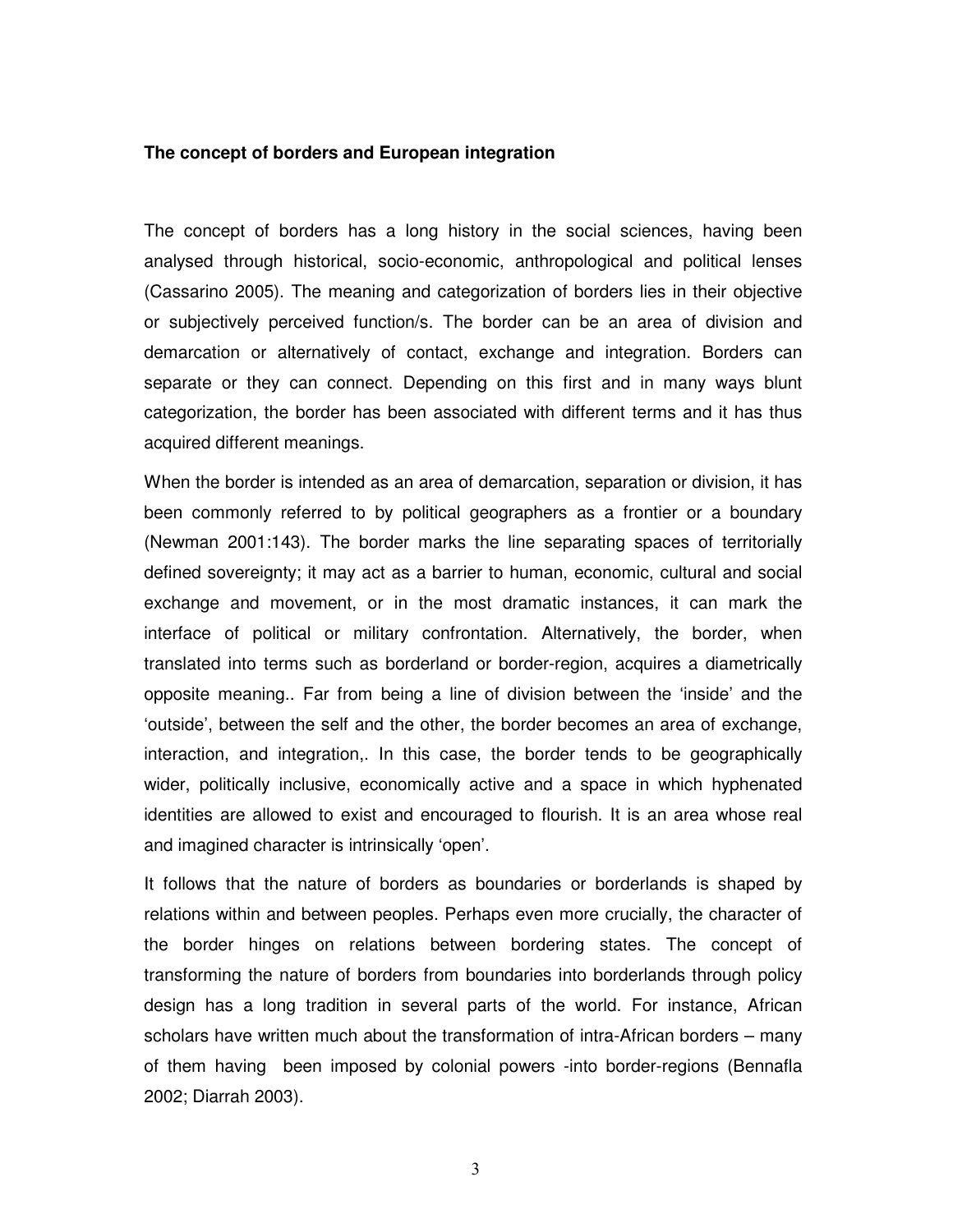#### **The concept of borders and European integration**

The concept of borders has a long history in the social sciences, having been analysed through historical, socio-economic, anthropological and political lenses (Cassarino 2005). The meaning and categorization of borders lies in their objective or subjectively perceived function/s. The border can be an area of division and demarcation or alternatively of contact, exchange and integration. Borders can separate or they can connect. Depending on this first and in many ways blunt categorization, the border has been associated with different terms and it has thus acquired different meanings.

When the border is intended as an area of demarcation, separation or division, it has been commonly referred to by political geographers as a frontier or a boundary (Newman 2001:143). The border marks the line separating spaces of territorially defined sovereignty; it may act as a barrier to human, economic, cultural and social exchange and movement, or in the most dramatic instances, it can mark the interface of political or military confrontation. Alternatively, the border, when translated into terms such as borderland or border-region, acquires a diametrically opposite meaning.. Far from being a line of division between the 'inside' and the 'outside', between the self and the other, the border becomes an area of exchange, interaction, and integration,. In this case, the border tends to be geographically wider, politically inclusive, economically active and a space in which hyphenated identities are allowed to exist and encouraged to flourish. It is an area whose real and imagined character is intrinsically 'open'.

It follows that the nature of borders as boundaries or borderlands is shaped by relations within and between peoples. Perhaps even more crucially, the character of the border hinges on relations between bordering states. The concept of transforming the nature of borders from boundaries into borderlands through policy design has a long tradition in several parts of the world. For instance, African scholars have written much about the transformation of intra-African borders – many of them having been imposed by colonial powers -into border-regions (Bennafla 2002; Diarrah 2003).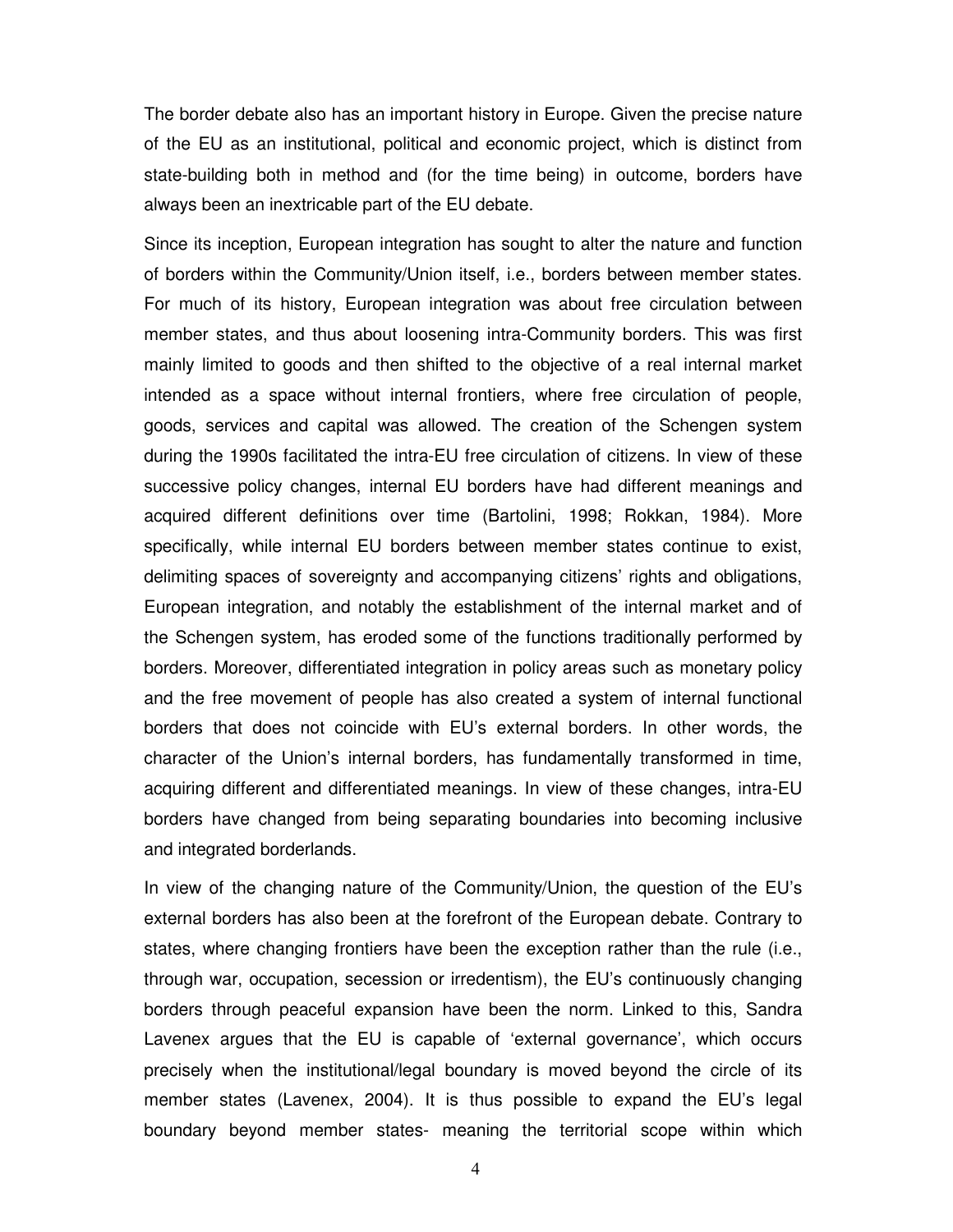The border debate also has an important history in Europe. Given the precise nature of the EU as an institutional, political and economic project, which is distinct from state-building both in method and (for the time being) in outcome, borders have always been an inextricable part of the EU debate.

Since its inception, European integration has sought to alter the nature and function of borders within the Community/Union itself, i.e., borders between member states. For much of its history, European integration was about free circulation between member states, and thus about loosening intra-Community borders. This was first mainly limited to goods and then shifted to the objective of a real internal market intended as a space without internal frontiers, where free circulation of people, goods, services and capital was allowed. The creation of the Schengen system during the 1990s facilitated the intra-EU free circulation of citizens. In view of these successive policy changes, internal EU borders have had different meanings and acquired different definitions over time (Bartolini, 1998; Rokkan, 1984). More specifically, while internal EU borders between member states continue to exist, delimiting spaces of sovereignty and accompanying citizens' rights and obligations, European integration, and notably the establishment of the internal market and of the Schengen system, has eroded some of the functions traditionally performed by borders. Moreover, differentiated integration in policy areas such as monetary policy and the free movement of people has also created a system of internal functional borders that does not coincide with EU's external borders. In other words, the character of the Union's internal borders, has fundamentally transformed in time, acquiring different and differentiated meanings. In view of these changes, intra-EU borders have changed from being separating boundaries into becoming inclusive and integrated borderlands.

In view of the changing nature of the Community/Union, the question of the EU's external borders has also been at the forefront of the European debate. Contrary to states, where changing frontiers have been the exception rather than the rule (i.e., through war, occupation, secession or irredentism), the EU's continuously changing borders through peaceful expansion have been the norm. Linked to this, Sandra Lavenex argues that the EU is capable of 'external governance', which occurs precisely when the institutional/legal boundary is moved beyond the circle of its member states (Lavenex, 2004). It is thus possible to expand the EU's legal boundary beyond member states- meaning the territorial scope within which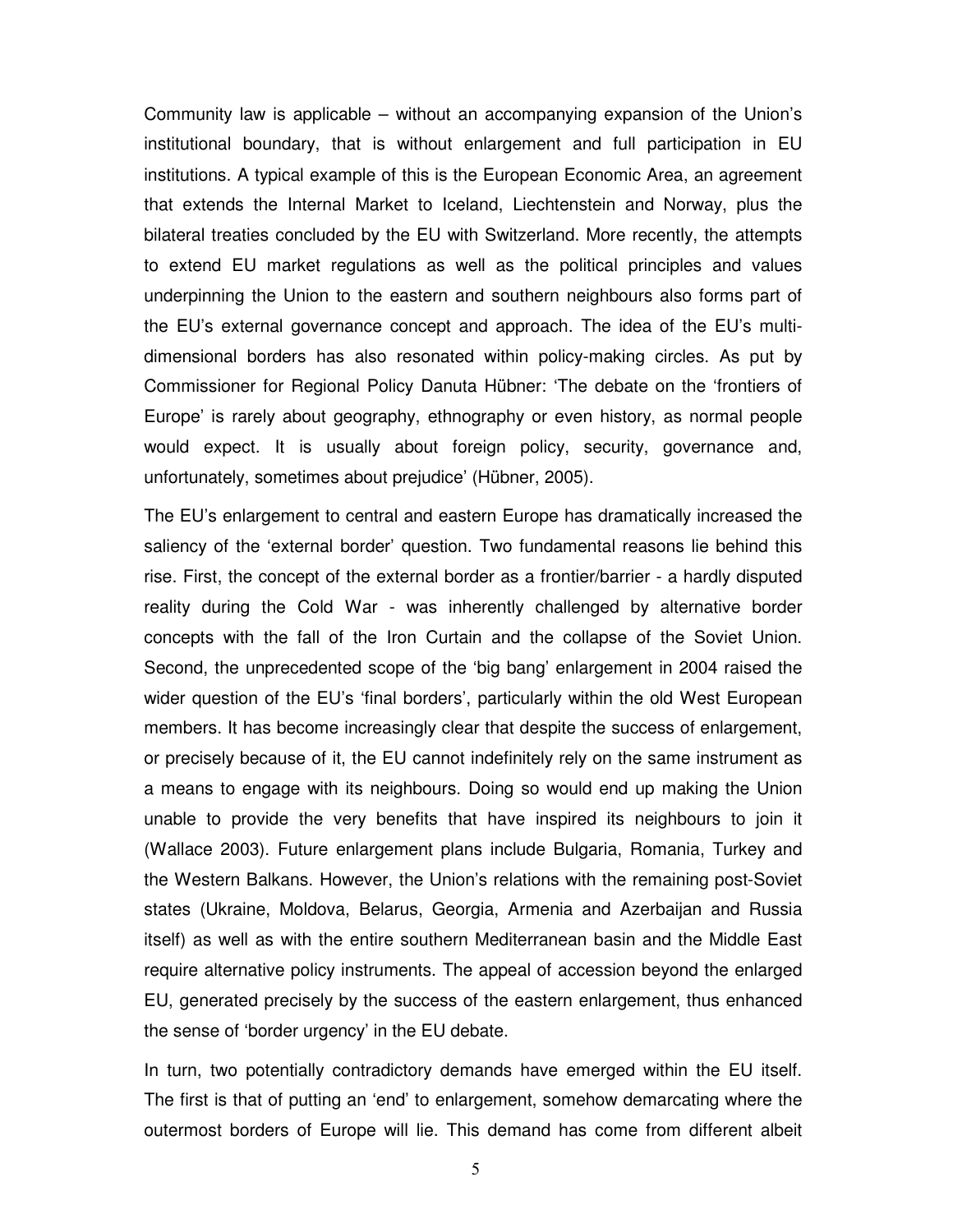Community law is applicable – without an accompanying expansion of the Union's institutional boundary, that is without enlargement and full participation in EU institutions. A typical example of this is the European Economic Area, an agreement that extends the Internal Market to Iceland, Liechtenstein and Norway, plus the bilateral treaties concluded by the EU with Switzerland. More recently, the attempts to extend EU market regulations as well as the political principles and values underpinning the Union to the eastern and southern neighbours also forms part of the EU's external governance concept and approach. The idea of the EU's multidimensional borders has also resonated within policy-making circles. As put by Commissioner for Regional Policy Danuta Hübner: 'The debate on the 'frontiers of Europe' is rarely about geography, ethnography or even history, as normal people would expect. It is usually about foreign policy, security, governance and, unfortunately, sometimes about prejudice' (Hübner, 2005).

The EU's enlargement to central and eastern Europe has dramatically increased the saliency of the 'external border' question. Two fundamental reasons lie behind this rise. First, the concept of the external border as a frontier/barrier - a hardly disputed reality during the Cold War - was inherently challenged by alternative border concepts with the fall of the Iron Curtain and the collapse of the Soviet Union. Second, the unprecedented scope of the 'big bang' enlargement in 2004 raised the wider question of the EU's 'final borders', particularly within the old West European members. It has become increasingly clear that despite the success of enlargement, or precisely because of it, the EU cannot indefinitely rely on the same instrument as a means to engage with its neighbours. Doing so would end up making the Union unable to provide the very benefits that have inspired its neighbours to join it (Wallace 2003). Future enlargement plans include Bulgaria, Romania, Turkey and the Western Balkans. However, the Union's relations with the remaining post-Soviet states (Ukraine, Moldova, Belarus, Georgia, Armenia and Azerbaijan and Russia itself) as well as with the entire southern Mediterranean basin and the Middle East require alternative policy instruments. The appeal of accession beyond the enlarged EU, generated precisely by the success of the eastern enlargement, thus enhanced the sense of 'border urgency' in the EU debate.

In turn, two potentially contradictory demands have emerged within the EU itself. The first is that of putting an 'end' to enlargement, somehow demarcating where the outermost borders of Europe will lie. This demand has come from different albeit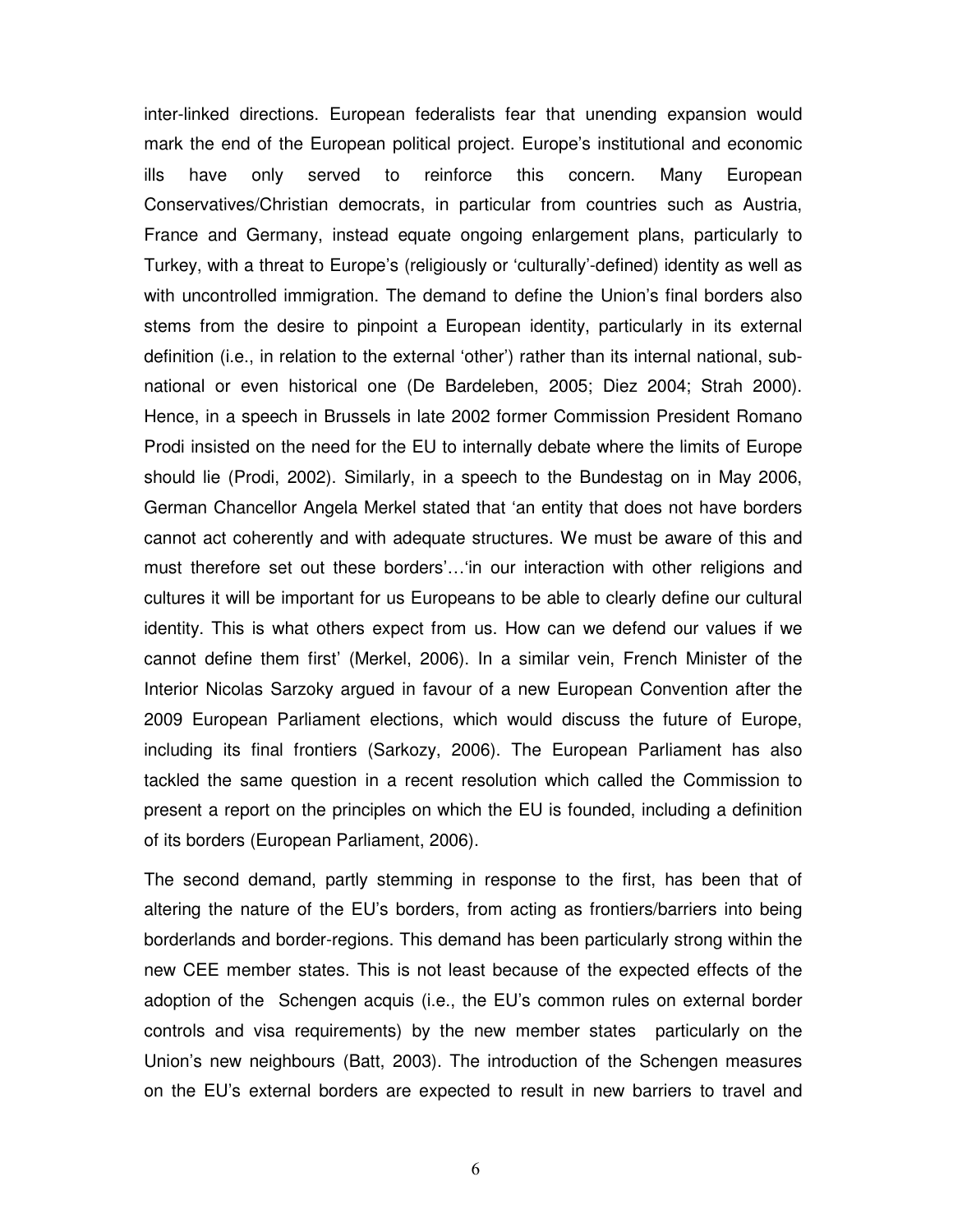inter-linked directions. European federalists fear that unending expansion would mark the end of the European political project. Europe's institutional and economic ills have only served to reinforce this concern. Many European Conservatives/Christian democrats, in particular from countries such as Austria, France and Germany, instead equate ongoing enlargement plans, particularly to Turkey, with a threat to Europe's (religiously or 'culturally'-defined) identity as well as with uncontrolled immigration. The demand to define the Union's final borders also stems from the desire to pinpoint a European identity, particularly in its external definition (i.e., in relation to the external 'other') rather than its internal national, subnational or even historical one (De Bardeleben, 2005; Diez 2004; Strah 2000). Hence, in a speech in Brussels in late 2002 former Commission President Romano Prodi insisted on the need for the EU to internally debate where the limits of Europe should lie (Prodi, 2002). Similarly, in a speech to the Bundestag on in May 2006, German Chancellor Angela Merkel stated that 'an entity that does not have borders cannot act coherently and with adequate structures. We must be aware of this and must therefore set out these borders'…'in our interaction with other religions and cultures it will be important for us Europeans to be able to clearly define our cultural identity. This is what others expect from us. How can we defend our values if we cannot define them first' (Merkel, 2006). In a similar vein, French Minister of the Interior Nicolas Sarzoky argued in favour of a new European Convention after the 2009 European Parliament elections, which would discuss the future of Europe, including its final frontiers (Sarkozy, 2006). The European Parliament has also tackled the same question in a recent resolution which called the Commission to present a report on the principles on which the EU is founded, including a definition of its borders (European Parliament, 2006).

The second demand, partly stemming in response to the first, has been that of altering the nature of the EU's borders, from acting as frontiers/barriers into being borderlands and border-regions. This demand has been particularly strong within the new CEE member states. This is not least because of the expected effects of the adoption of the Schengen acquis (i.e., the EU's common rules on external border controls and visa requirements) by the new member states particularly on the Union's new neighbours (Batt, 2003). The introduction of the Schengen measures on the EU's external borders are expected to result in new barriers to travel and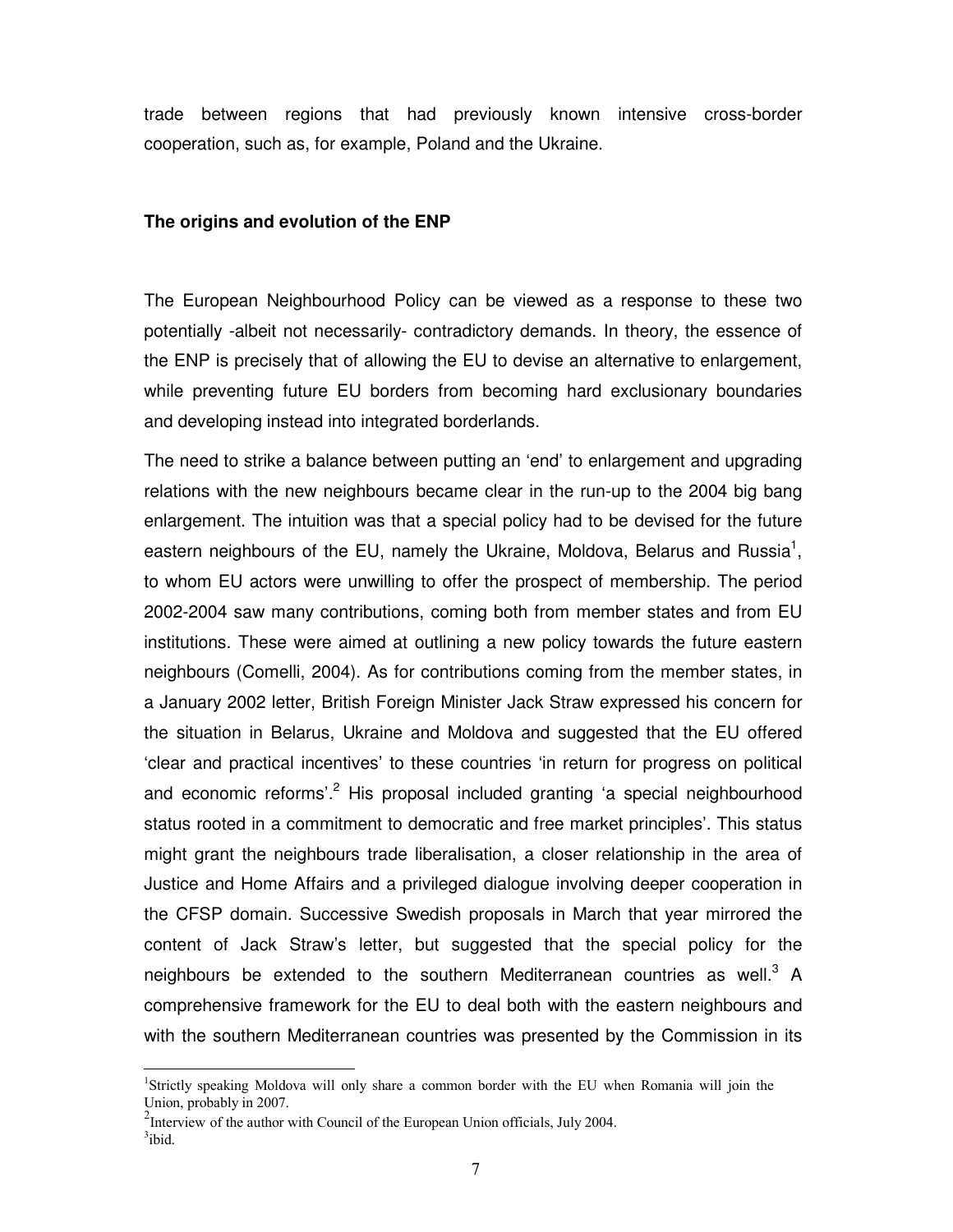trade between regions that had previously known intensive cross-border cooperation, such as, for example, Poland and the Ukraine.

#### **The origins and evolution of the ENP**

The European Neighbourhood Policy can be viewed as a response to these two potentially -albeit not necessarily- contradictory demands. In theory, the essence of the ENP is precisely that of allowing the EU to devise an alternative to enlargement, while preventing future EU borders from becoming hard exclusionary boundaries and developing instead into integrated borderlands.

The need to strike a balance between putting an 'end' to enlargement and upgrading relations with the new neighbours became clear in the run-up to the 2004 big bang enlargement. The intuition was that a special policy had to be devised for the future eastern neighbours of the EU, namely the Ukraine, Moldova, Belarus and Russia<sup>1</sup>, to whom EU actors were unwilling to offer the prospect of membership. The period 2002-2004 saw many contributions, coming both from member states and from EU institutions. These were aimed at outlining a new policy towards the future eastern neighbours (Comelli, 2004). As for contributions coming from the member states, in a January 2002 letter, British Foreign Minister Jack Straw expressed his concern for the situation in Belarus, Ukraine and Moldova and suggested that the EU offered 'clear and practical incentives' to these countries 'in return for progress on political and economic reforms'.<sup>2</sup> His proposal included granting 'a special neighbourhood status rooted in a commitment to democratic and free market principles'. This status might grant the neighbours trade liberalisation, a closer relationship in the area of Justice and Home Affairs and a privileged dialogue involving deeper cooperation in the CFSP domain. Successive Swedish proposals in March that year mirrored the content of Jack Straw's letter, but suggested that the special policy for the neighbours be extended to the southern Mediterranean countries as well. $3\,$  A comprehensive framework for the EU to deal both with the eastern neighbours and with the southern Mediterranean countries was presented by the Commission in its

 $\overline{a}$ 

<sup>&</sup>lt;sup>1</sup>Strictly speaking Moldova will only share a common border with the EU when Romania will join the Union, probably in 2007.

<sup>&</sup>lt;sup>2</sup>Interview of the author with Council of the European Union officials, July 2004.

 $3$ ibid.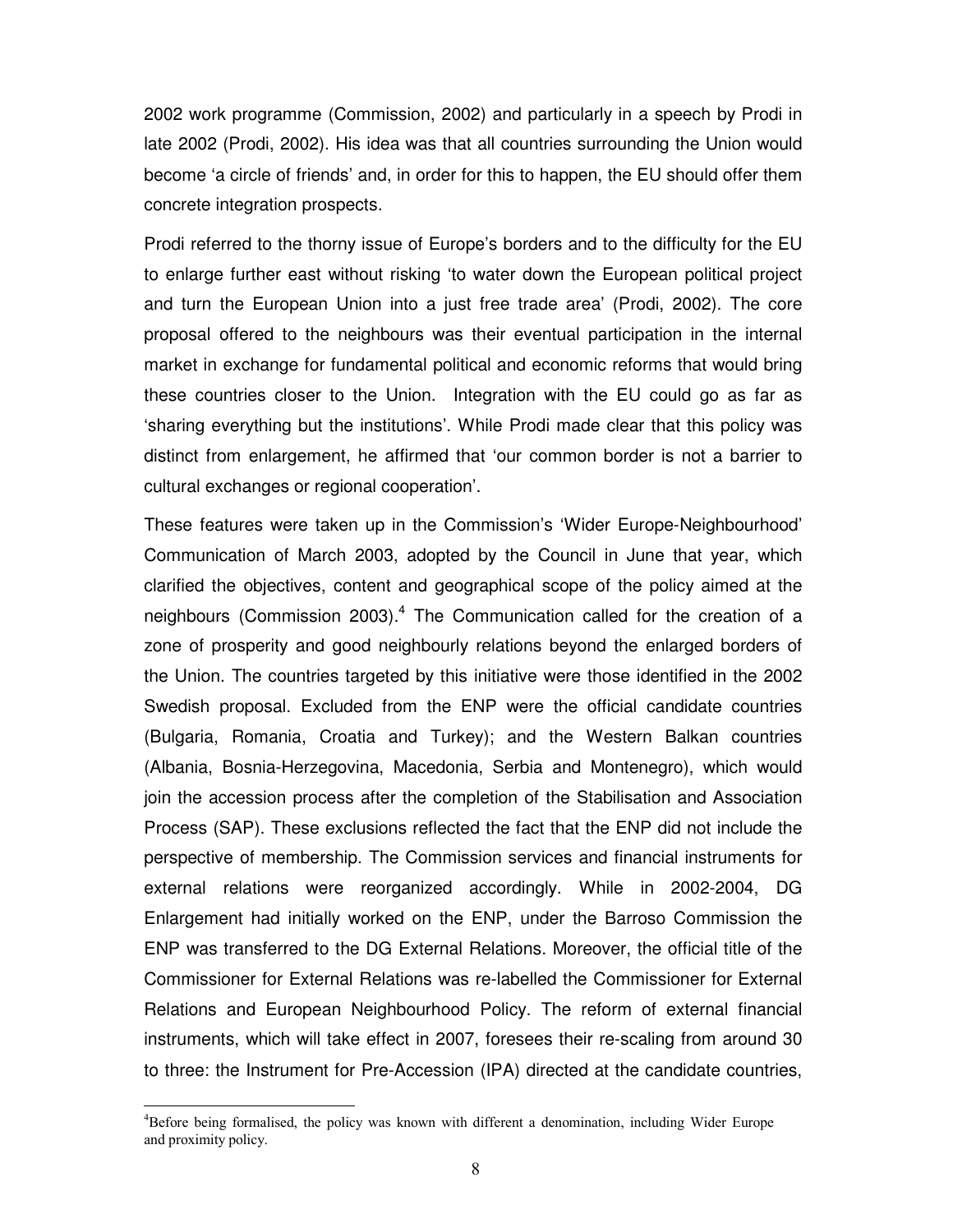2002 work programme (Commission, 2002) and particularly in a speech by Prodi in late 2002 (Prodi, 2002). His idea was that all countries surrounding the Union would become 'a circle of friends' and, in order for this to happen, the EU should offer them concrete integration prospects.

Prodi referred to the thorny issue of Europe's borders and to the difficulty for the EU to enlarge further east without risking 'to water down the European political project and turn the European Union into a just free trade area' (Prodi, 2002). The core proposal offered to the neighbours was their eventual participation in the internal market in exchange for fundamental political and economic reforms that would bring these countries closer to the Union. Integration with the EU could go as far as 'sharing everything but the institutions'. While Prodi made clear that this policy was distinct from enlargement, he affirmed that 'our common border is not a barrier to cultural exchanges or regional cooperation'.

These features were taken up in the Commission's 'Wider Europe-Neighbourhood' Communication of March 2003, adopted by the Council in June that year, which clarified the objectives, content and geographical scope of the policy aimed at the neighbours (Commission 2003).<sup>4</sup> The Communication called for the creation of a zone of prosperity and good neighbourly relations beyond the enlarged borders of the Union. The countries targeted by this initiative were those identified in the 2002 Swedish proposal. Excluded from the ENP were the official candidate countries (Bulgaria, Romania, Croatia and Turkey); and the Western Balkan countries (Albania, Bosnia-Herzegovina, Macedonia, Serbia and Montenegro), which would join the accession process after the completion of the Stabilisation and Association Process (SAP). These exclusions reflected the fact that the ENP did not include the perspective of membership. The Commission services and financial instruments for external relations were reorganized accordingly. While in 2002-2004, DG Enlargement had initially worked on the ENP, under the Barroso Commission the ENP was transferred to the DG External Relations. Moreover, the official title of the Commissioner for External Relations was re-labelled the Commissioner for External Relations and European Neighbourhood Policy. The reform of external financial instruments, which will take effect in 2007, foresees their re-scaling from around 30 to three: the Instrument for Pre-Accession (IPA) directed at the candidate countries,

 $\overline{a}$ 

<sup>4</sup>Before being formalised, the policy was known with different a denomination, including Wider Europe and proximity policy.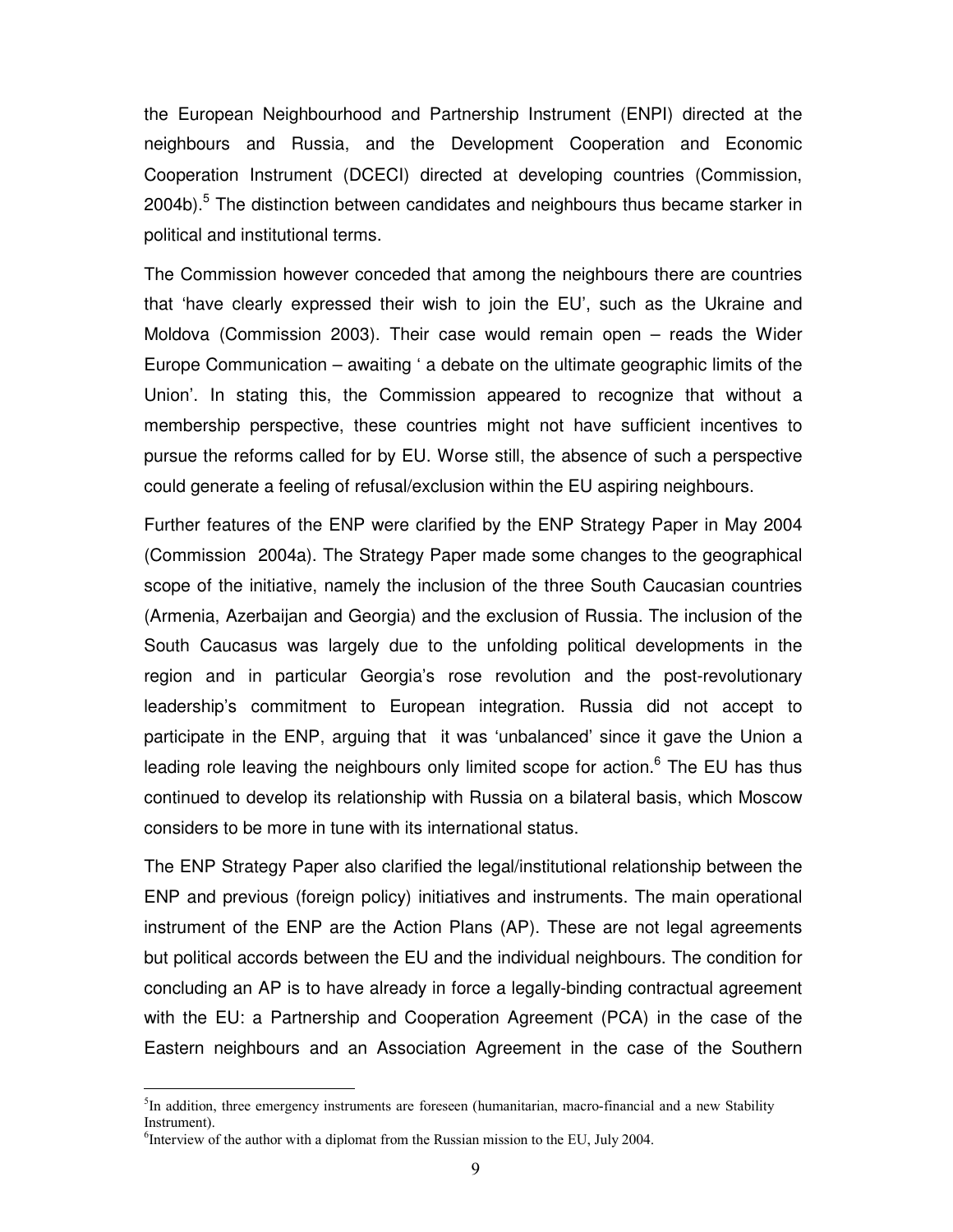the European Neighbourhood and Partnership Instrument (ENPI) directed at the neighbours and Russia, and the Development Cooperation and Economic Cooperation Instrument (DCECI) directed at developing countries (Commission, 2004b).<sup>5</sup> The distinction between candidates and neighbours thus became starker in political and institutional terms.

The Commission however conceded that among the neighbours there are countries that 'have clearly expressed their wish to join the EU', such as the Ukraine and Moldova (Commission 2003). Their case would remain open – reads the Wider Europe Communication – awaiting ' a debate on the ultimate geographic limits of the Union'. In stating this, the Commission appeared to recognize that without a membership perspective, these countries might not have sufficient incentives to pursue the reforms called for by EU. Worse still, the absence of such a perspective could generate a feeling of refusal/exclusion within the EU aspiring neighbours.

Further features of the ENP were clarified by the ENP Strategy Paper in May 2004 (Commission 2004a). The Strategy Paper made some changes to the geographical scope of the initiative, namely the inclusion of the three South Caucasian countries (Armenia, Azerbaijan and Georgia) and the exclusion of Russia. The inclusion of the South Caucasus was largely due to the unfolding political developments in the region and in particular Georgia's rose revolution and the post-revolutionary leadership's commitment to European integration. Russia did not accept to participate in the ENP, arguing that it was 'unbalanced' since it gave the Union a leading role leaving the neighbours only limited scope for action.<sup>6</sup> The EU has thus continued to develop its relationship with Russia on a bilateral basis, which Moscow considers to be more in tune with its international status.

The ENP Strategy Paper also clarified the legal/institutional relationship between the ENP and previous (foreign policy) initiatives and instruments. The main operational instrument of the ENP are the Action Plans (AP). These are not legal agreements but political accords between the EU and the individual neighbours. The condition for concluding an AP is to have already in force a legally-binding contractual agreement with the EU: a Partnership and Cooperation Agreement (PCA) in the case of the Eastern neighbours and an Association Agreement in the case of the Southern

 $\ddot{\phantom{a}}$ 

<sup>&</sup>lt;sup>5</sup>In addition, three emergency instruments are foreseen (humanitarian, macro-financial and a new Stability Instrument).

<sup>&</sup>lt;sup>6</sup>Interview of the author with a diplomat from the Russian mission to the EU, July 2004.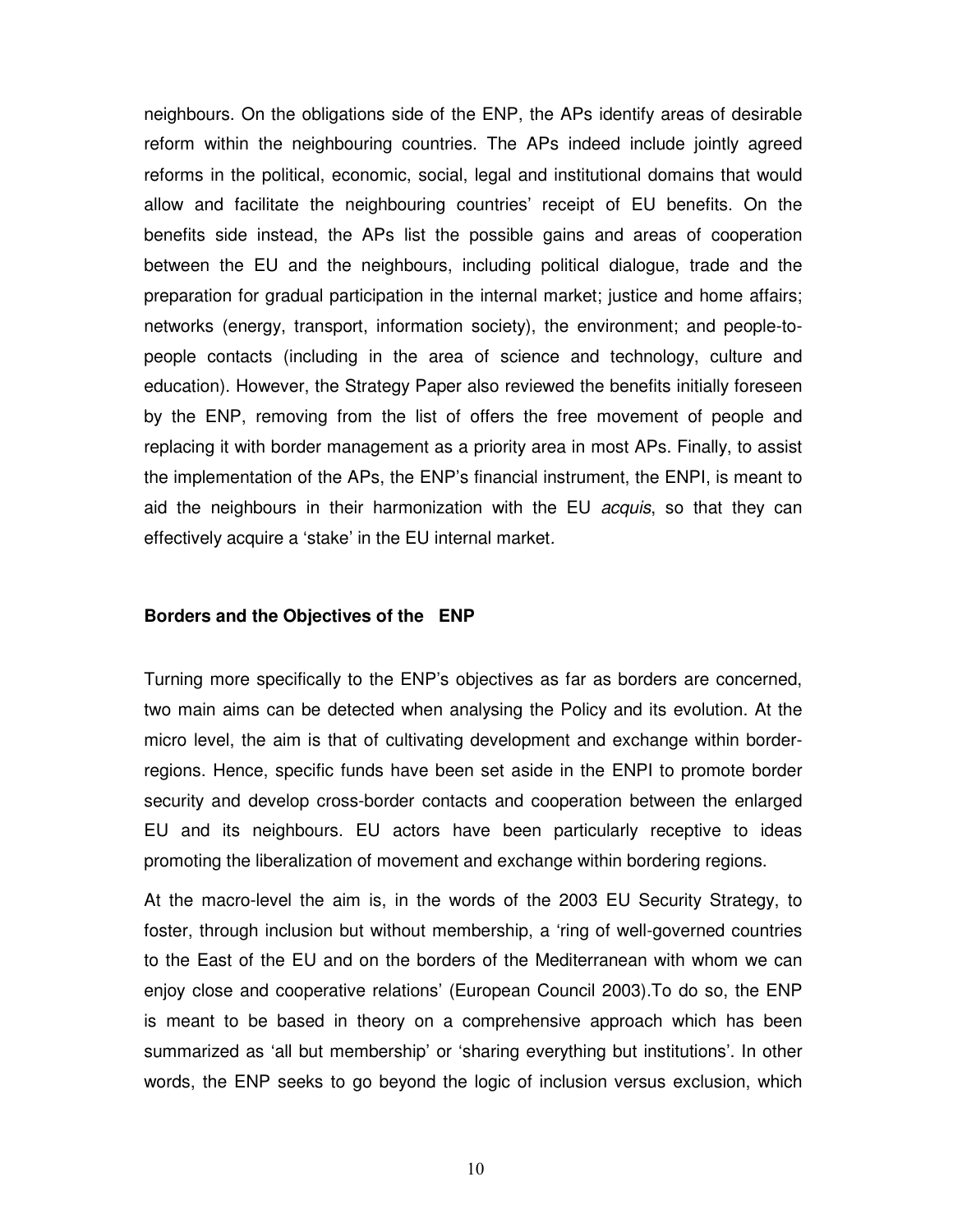neighbours. On the obligations side of the ENP, the APs identify areas of desirable reform within the neighbouring countries. The APs indeed include jointly agreed reforms in the political, economic, social, legal and institutional domains that would allow and facilitate the neighbouring countries' receipt of EU benefits. On the benefits side instead, the APs list the possible gains and areas of cooperation between the EU and the neighbours, including political dialogue, trade and the preparation for gradual participation in the internal market; justice and home affairs; networks (energy, transport, information society), the environment; and people-topeople contacts (including in the area of science and technology, culture and education). However, the Strategy Paper also reviewed the benefits initially foreseen by the ENP, removing from the list of offers the free movement of people and replacing it with border management as a priority area in most APs. Finally, to assist the implementation of the APs, the ENP's financial instrument, the ENPI, is meant to aid the neighbours in their harmonization with the EU acquis, so that they can effectively acquire a 'stake' in the EU internal market.

#### **Borders and the Objectives of the ENP**

Turning more specifically to the ENP's objectives as far as borders are concerned, two main aims can be detected when analysing the Policy and its evolution. At the micro level, the aim is that of cultivating development and exchange within borderregions. Hence, specific funds have been set aside in the ENPI to promote border security and develop cross-border contacts and cooperation between the enlarged EU and its neighbours. EU actors have been particularly receptive to ideas promoting the liberalization of movement and exchange within bordering regions.

At the macro-level the aim is, in the words of the 2003 EU Security Strategy, to foster, through inclusion but without membership, a 'ring of well-governed countries to the East of the EU and on the borders of the Mediterranean with whom we can enjoy close and cooperative relations' (European Council 2003).To do so, the ENP is meant to be based in theory on a comprehensive approach which has been summarized as 'all but membership' or 'sharing everything but institutions'. In other words, the ENP seeks to go beyond the logic of inclusion versus exclusion, which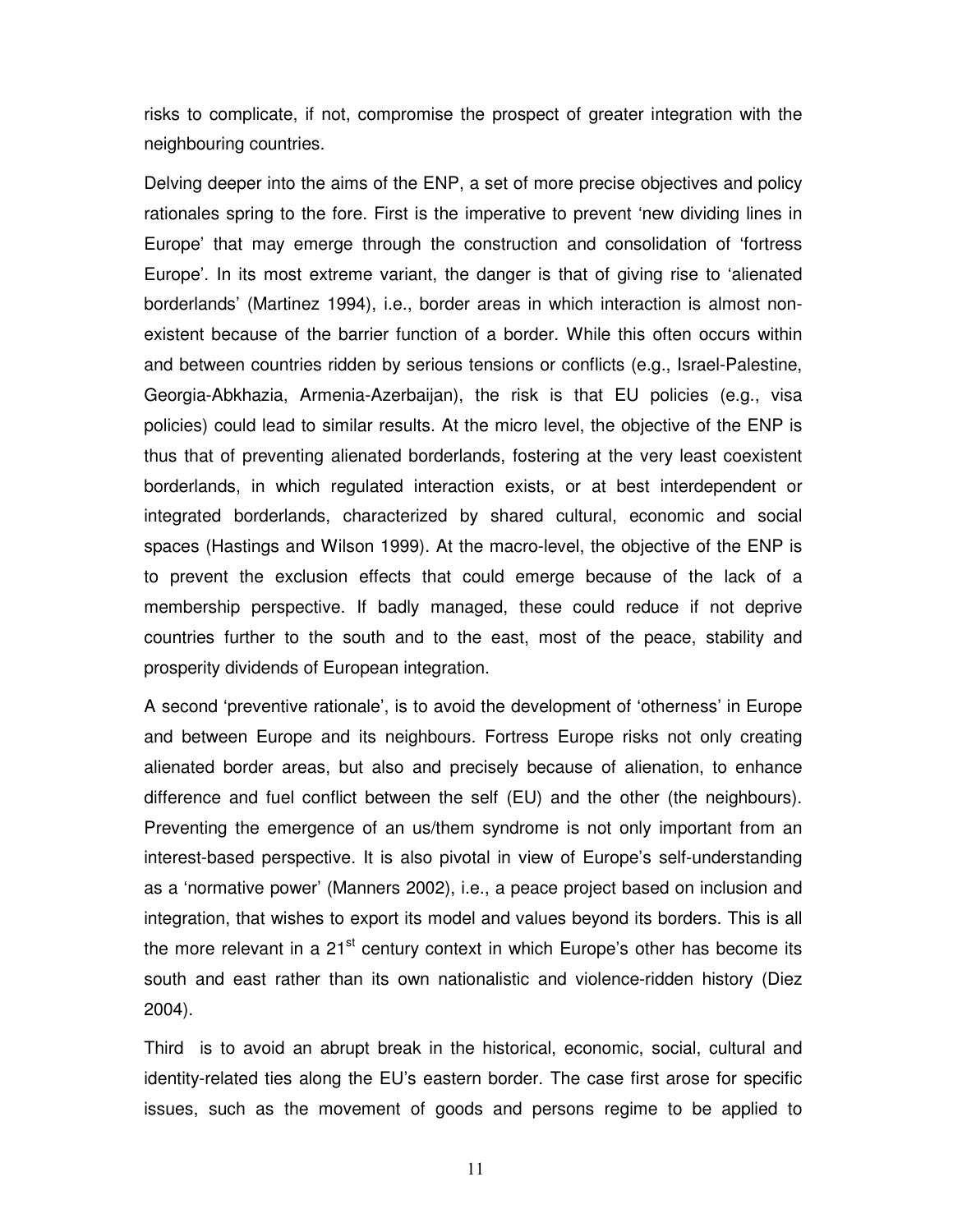risks to complicate, if not, compromise the prospect of greater integration with the neighbouring countries.

Delving deeper into the aims of the ENP, a set of more precise objectives and policy rationales spring to the fore. First is the imperative to prevent 'new dividing lines in Europe' that may emerge through the construction and consolidation of 'fortress Europe'. In its most extreme variant, the danger is that of giving rise to 'alienated borderlands' (Martinez 1994), i.e., border areas in which interaction is almost nonexistent because of the barrier function of a border. While this often occurs within and between countries ridden by serious tensions or conflicts (e.g., Israel-Palestine, Georgia-Abkhazia, Armenia-Azerbaijan), the risk is that EU policies (e.g., visa policies) could lead to similar results. At the micro level, the objective of the ENP is thus that of preventing alienated borderlands, fostering at the very least coexistent borderlands, in which regulated interaction exists, or at best interdependent or integrated borderlands, characterized by shared cultural, economic and social spaces (Hastings and Wilson 1999). At the macro-level, the objective of the ENP is to prevent the exclusion effects that could emerge because of the lack of a membership perspective. If badly managed, these could reduce if not deprive countries further to the south and to the east, most of the peace, stability and prosperity dividends of European integration.

A second 'preventive rationale', is to avoid the development of 'otherness' in Europe and between Europe and its neighbours. Fortress Europe risks not only creating alienated border areas, but also and precisely because of alienation, to enhance difference and fuel conflict between the self (EU) and the other (the neighbours). Preventing the emergence of an us/them syndrome is not only important from an interest-based perspective. It is also pivotal in view of Europe's self-understanding as a 'normative power' (Manners 2002), i.e., a peace project based on inclusion and integration, that wishes to export its model and values beyond its borders. This is all the more relevant in a  $21<sup>st</sup>$  century context in which Europe's other has become its south and east rather than its own nationalistic and violence-ridden history (Diez 2004).

Third is to avoid an abrupt break in the historical, economic, social, cultural and identity-related ties along the EU's eastern border. The case first arose for specific issues, such as the movement of goods and persons regime to be applied to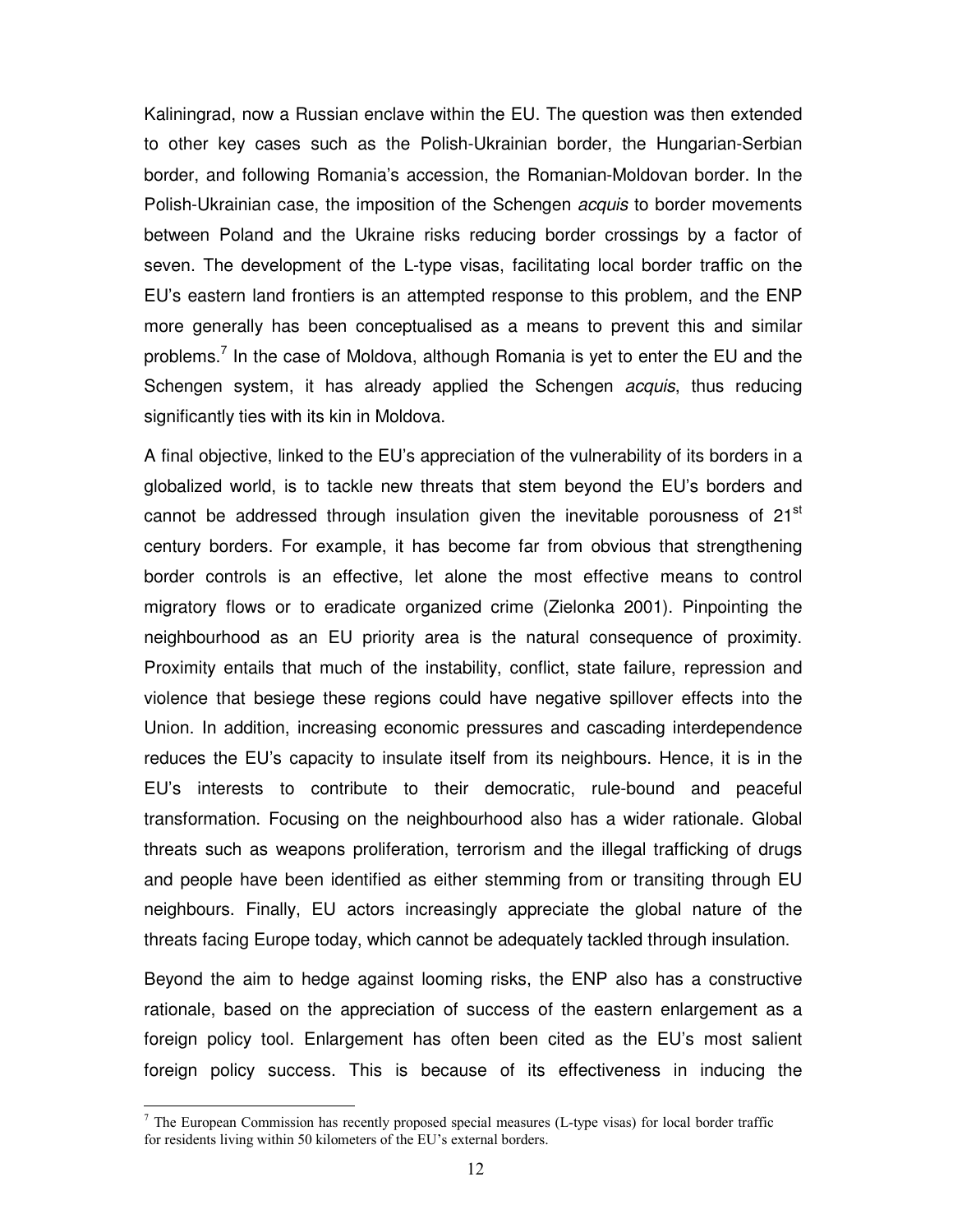Kaliningrad, now a Russian enclave within the EU. The question was then extended to other key cases such as the Polish-Ukrainian border, the Hungarian-Serbian border, and following Romania's accession, the Romanian-Moldovan border. In the Polish-Ukrainian case, the imposition of the Schengen *acquis* to border movements between Poland and the Ukraine risks reducing border crossings by a factor of seven. The development of the L-type visas, facilitating local border traffic on the EU's eastern land frontiers is an attempted response to this problem, and the ENP more generally has been conceptualised as a means to prevent this and similar problems.<sup>7</sup> In the case of Moldova, although Romania is yet to enter the EU and the Schengen system, it has already applied the Schengen *acquis*, thus reducing significantly ties with its kin in Moldova.

A final objective, linked to the EU's appreciation of the vulnerability of its borders in a globalized world, is to tackle new threats that stem beyond the EU's borders and cannot be addressed through insulation given the inevitable porousness of  $21<sup>st</sup>$ century borders. For example, it has become far from obvious that strengthening border controls is an effective, let alone the most effective means to control migratory flows or to eradicate organized crime (Zielonka 2001). Pinpointing the neighbourhood as an EU priority area is the natural consequence of proximity. Proximity entails that much of the instability, conflict, state failure, repression and violence that besiege these regions could have negative spillover effects into the Union. In addition, increasing economic pressures and cascading interdependence reduces the EU's capacity to insulate itself from its neighbours. Hence, it is in the EU's interests to contribute to their democratic, rule-bound and peaceful transformation. Focusing on the neighbourhood also has a wider rationale. Global threats such as weapons proliferation, terrorism and the illegal trafficking of drugs and people have been identified as either stemming from or transiting through EU neighbours. Finally, EU actors increasingly appreciate the global nature of the threats facing Europe today, which cannot be adequately tackled through insulation.

Beyond the aim to hedge against looming risks, the ENP also has a constructive rationale, based on the appreciation of success of the eastern enlargement as a foreign policy tool. Enlargement has often been cited as the EU's most salient foreign policy success. This is because of its effectiveness in inducing the

 $\ddot{\phantom{a}}$ 

 $<sup>7</sup>$  The European Commission has recently proposed special measures (L-type visas) for local border traffic</sup> for residents living within 50 kilometers of the EU's external borders.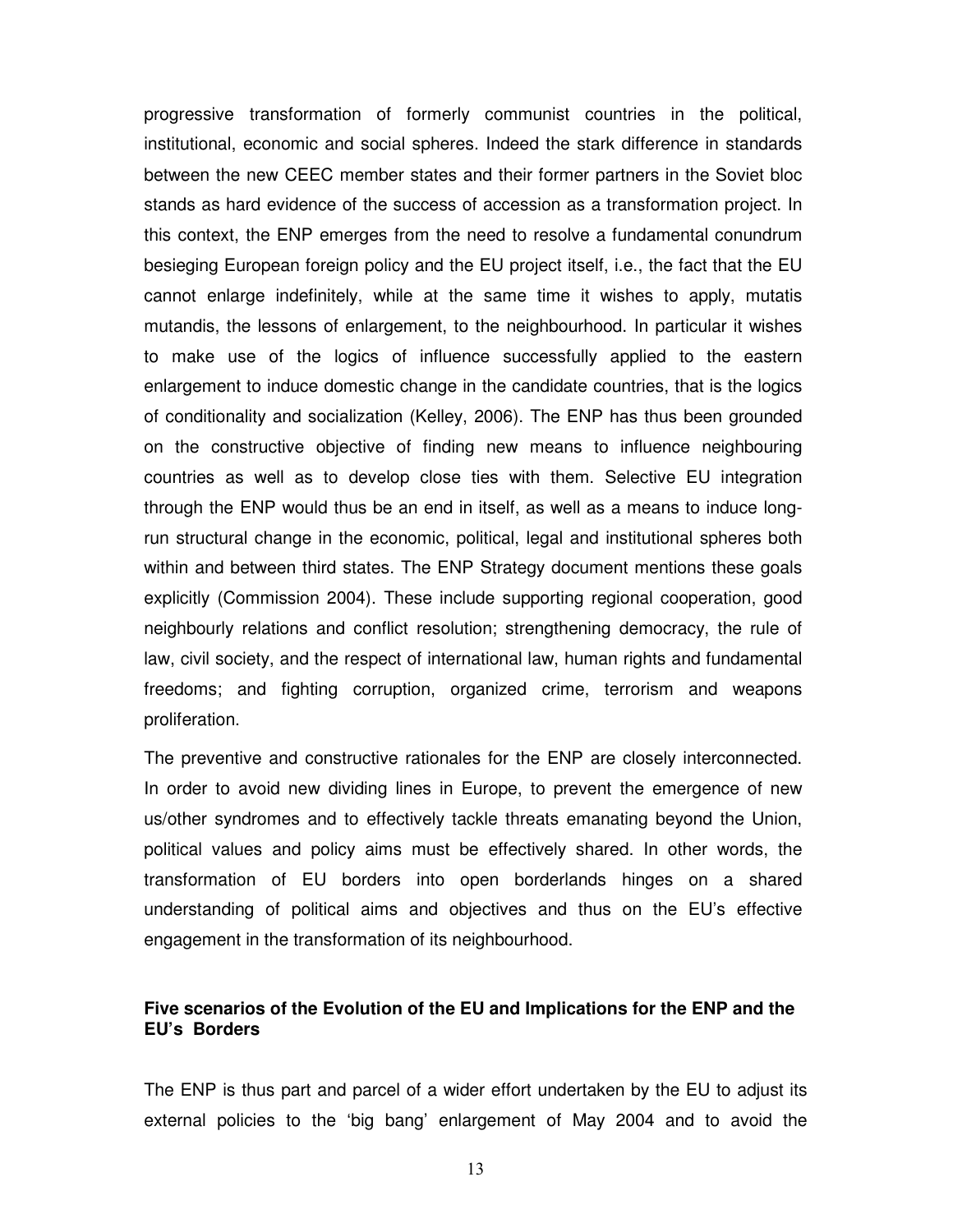progressive transformation of formerly communist countries in the political, institutional, economic and social spheres. Indeed the stark difference in standards between the new CEEC member states and their former partners in the Soviet bloc stands as hard evidence of the success of accession as a transformation project. In this context, the ENP emerges from the need to resolve a fundamental conundrum besieging European foreign policy and the EU project itself, i.e., the fact that the EU cannot enlarge indefinitely, while at the same time it wishes to apply, mutatis mutandis, the lessons of enlargement, to the neighbourhood. In particular it wishes to make use of the logics of influence successfully applied to the eastern enlargement to induce domestic change in the candidate countries, that is the logics of conditionality and socialization (Kelley, 2006). The ENP has thus been grounded on the constructive objective of finding new means to influence neighbouring countries as well as to develop close ties with them. Selective EU integration through the ENP would thus be an end in itself, as well as a means to induce longrun structural change in the economic, political, legal and institutional spheres both within and between third states. The ENP Strategy document mentions these goals explicitly (Commission 2004). These include supporting regional cooperation, good neighbourly relations and conflict resolution; strengthening democracy, the rule of law, civil society, and the respect of international law, human rights and fundamental freedoms; and fighting corruption, organized crime, terrorism and weapons proliferation.

The preventive and constructive rationales for the ENP are closely interconnected. In order to avoid new dividing lines in Europe, to prevent the emergence of new us/other syndromes and to effectively tackle threats emanating beyond the Union, political values and policy aims must be effectively shared. In other words, the transformation of EU borders into open borderlands hinges on a shared understanding of political aims and objectives and thus on the EU's effective engagement in the transformation of its neighbourhood.

# **Five scenarios of the Evolution of the EU and Implications for the ENP and the EU's Borders**

The ENP is thus part and parcel of a wider effort undertaken by the EU to adjust its external policies to the 'big bang' enlargement of May 2004 and to avoid the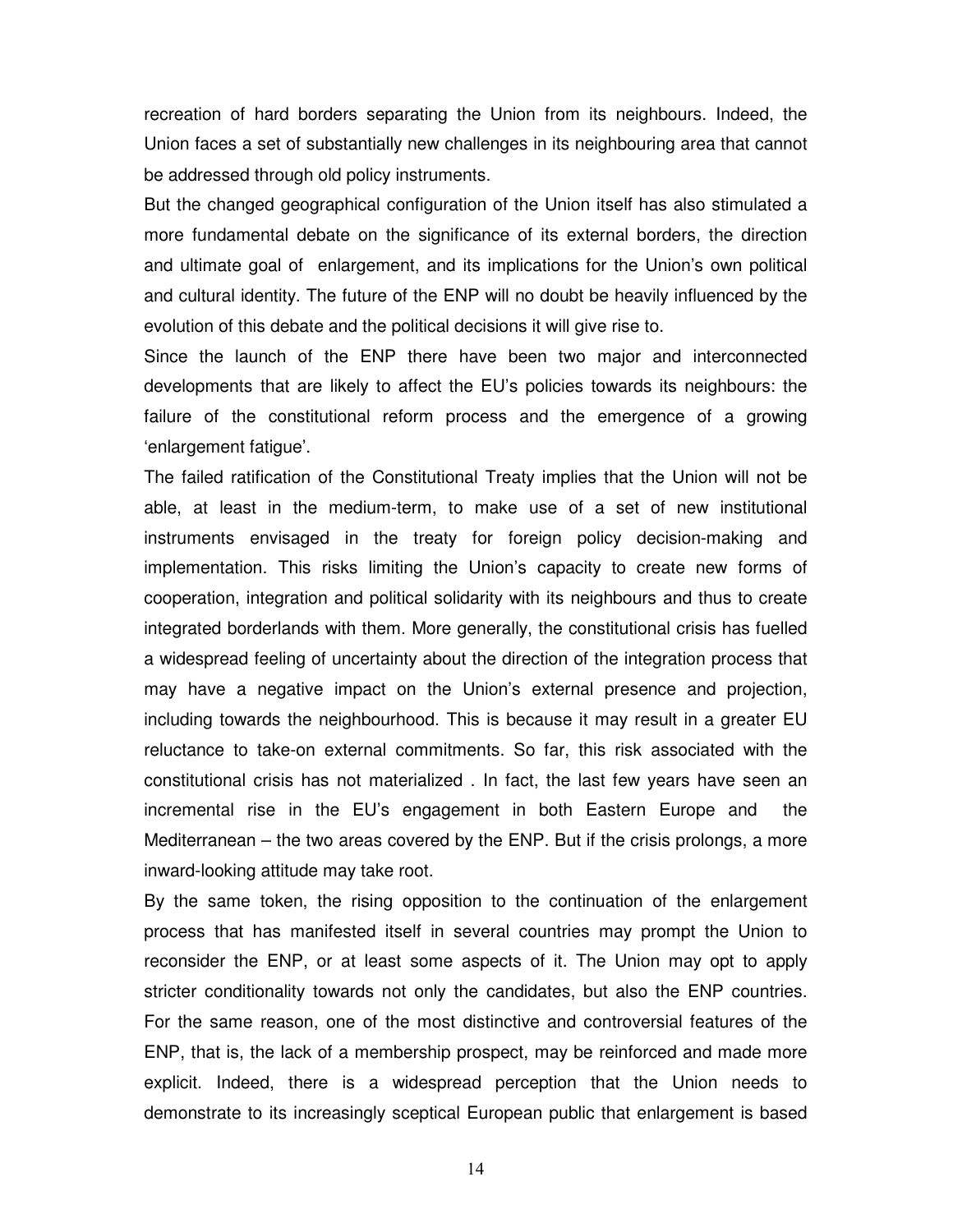recreation of hard borders separating the Union from its neighbours. Indeed, the Union faces a set of substantially new challenges in its neighbouring area that cannot be addressed through old policy instruments.

But the changed geographical configuration of the Union itself has also stimulated a more fundamental debate on the significance of its external borders, the direction and ultimate goal of enlargement, and its implications for the Union's own political and cultural identity. The future of the ENP will no doubt be heavily influenced by the evolution of this debate and the political decisions it will give rise to.

Since the launch of the ENP there have been two major and interconnected developments that are likely to affect the EU's policies towards its neighbours: the failure of the constitutional reform process and the emergence of a growing 'enlargement fatigue'.

The failed ratification of the Constitutional Treaty implies that the Union will not be able, at least in the medium-term, to make use of a set of new institutional instruments envisaged in the treaty for foreign policy decision-making and implementation. This risks limiting the Union's capacity to create new forms of cooperation, integration and political solidarity with its neighbours and thus to create integrated borderlands with them. More generally, the constitutional crisis has fuelled a widespread feeling of uncertainty about the direction of the integration process that may have a negative impact on the Union's external presence and projection, including towards the neighbourhood. This is because it may result in a greater EU reluctance to take-on external commitments. So far, this risk associated with the constitutional crisis has not materialized . In fact, the last few years have seen an incremental rise in the EU's engagement in both Eastern Europe and the Mediterranean – the two areas covered by the ENP. But if the crisis prolongs, a more inward-looking attitude may take root.

By the same token, the rising opposition to the continuation of the enlargement process that has manifested itself in several countries may prompt the Union to reconsider the ENP, or at least some aspects of it. The Union may opt to apply stricter conditionality towards not only the candidates, but also the ENP countries. For the same reason, one of the most distinctive and controversial features of the ENP, that is, the lack of a membership prospect, may be reinforced and made more explicit. Indeed, there is a widespread perception that the Union needs to demonstrate to its increasingly sceptical European public that enlargement is based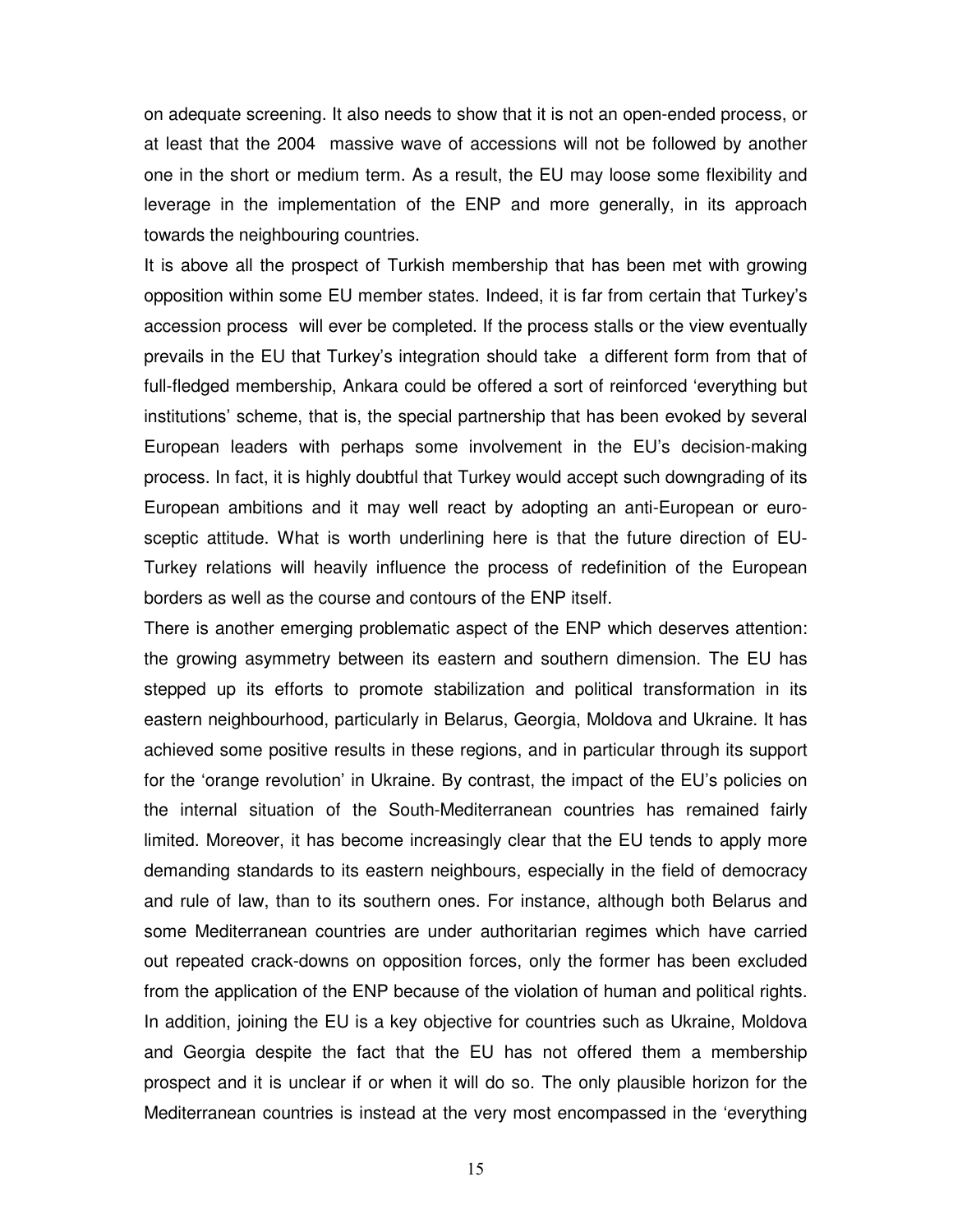on adequate screening. It also needs to show that it is not an open-ended process, or at least that the 2004 massive wave of accessions will not be followed by another one in the short or medium term. As a result, the EU may loose some flexibility and leverage in the implementation of the ENP and more generally, in its approach towards the neighbouring countries.

It is above all the prospect of Turkish membership that has been met with growing opposition within some EU member states. Indeed, it is far from certain that Turkey's accession process will ever be completed. If the process stalls or the view eventually prevails in the EU that Turkey's integration should take a different form from that of full-fledged membership, Ankara could be offered a sort of reinforced 'everything but institutions' scheme, that is, the special partnership that has been evoked by several European leaders with perhaps some involvement in the EU's decision-making process. In fact, it is highly doubtful that Turkey would accept such downgrading of its European ambitions and it may well react by adopting an anti-European or eurosceptic attitude. What is worth underlining here is that the future direction of EU-Turkey relations will heavily influence the process of redefinition of the European borders as well as the course and contours of the ENP itself.

There is another emerging problematic aspect of the ENP which deserves attention: the growing asymmetry between its eastern and southern dimension. The EU has stepped up its efforts to promote stabilization and political transformation in its eastern neighbourhood, particularly in Belarus, Georgia, Moldova and Ukraine. It has achieved some positive results in these regions, and in particular through its support for the 'orange revolution' in Ukraine. By contrast, the impact of the EU's policies on the internal situation of the South-Mediterranean countries has remained fairly limited. Moreover, it has become increasingly clear that the EU tends to apply more demanding standards to its eastern neighbours, especially in the field of democracy and rule of law, than to its southern ones. For instance, although both Belarus and some Mediterranean countries are under authoritarian regimes which have carried out repeated crack-downs on opposition forces, only the former has been excluded from the application of the ENP because of the violation of human and political rights. In addition, joining the EU is a key objective for countries such as Ukraine, Moldova and Georgia despite the fact that the EU has not offered them a membership prospect and it is unclear if or when it will do so. The only plausible horizon for the Mediterranean countries is instead at the very most encompassed in the 'everything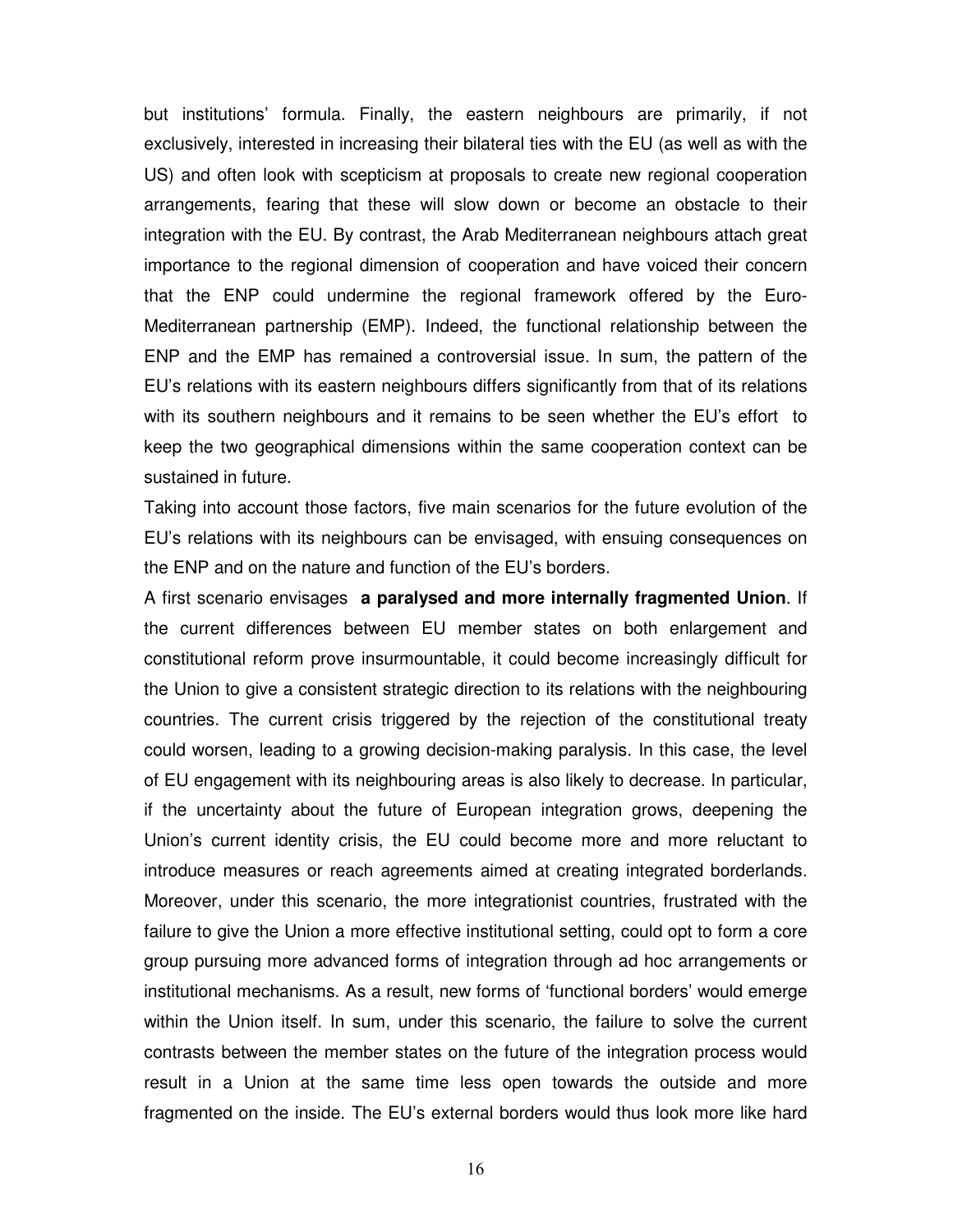but institutions' formula. Finally, the eastern neighbours are primarily, if not exclusively, interested in increasing their bilateral ties with the EU (as well as with the US) and often look with scepticism at proposals to create new regional cooperation arrangements, fearing that these will slow down or become an obstacle to their integration with the EU. By contrast, the Arab Mediterranean neighbours attach great importance to the regional dimension of cooperation and have voiced their concern that the ENP could undermine the regional framework offered by the Euro-Mediterranean partnership (EMP). Indeed, the functional relationship between the ENP and the EMP has remained a controversial issue. In sum, the pattern of the EU's relations with its eastern neighbours differs significantly from that of its relations with its southern neighbours and it remains to be seen whether the EU's effort to keep the two geographical dimensions within the same cooperation context can be sustained in future.

Taking into account those factors, five main scenarios for the future evolution of the EU's relations with its neighbours can be envisaged, with ensuing consequences on the ENP and on the nature and function of the EU's borders.

A first scenario envisages **a paralysed and more internally fragmented Union**. If the current differences between EU member states on both enlargement and constitutional reform prove insurmountable, it could become increasingly difficult for the Union to give a consistent strategic direction to its relations with the neighbouring countries. The current crisis triggered by the rejection of the constitutional treaty could worsen, leading to a growing decision-making paralysis. In this case, the level of EU engagement with its neighbouring areas is also likely to decrease. In particular, if the uncertainty about the future of European integration grows, deepening the Union's current identity crisis, the EU could become more and more reluctant to introduce measures or reach agreements aimed at creating integrated borderlands. Moreover, under this scenario, the more integrationist countries, frustrated with the failure to give the Union a more effective institutional setting, could opt to form a core group pursuing more advanced forms of integration through ad hoc arrangements or institutional mechanisms. As a result, new forms of 'functional borders' would emerge within the Union itself. In sum, under this scenario, the failure to solve the current contrasts between the member states on the future of the integration process would result in a Union at the same time less open towards the outside and more fragmented on the inside. The EU's external borders would thus look more like hard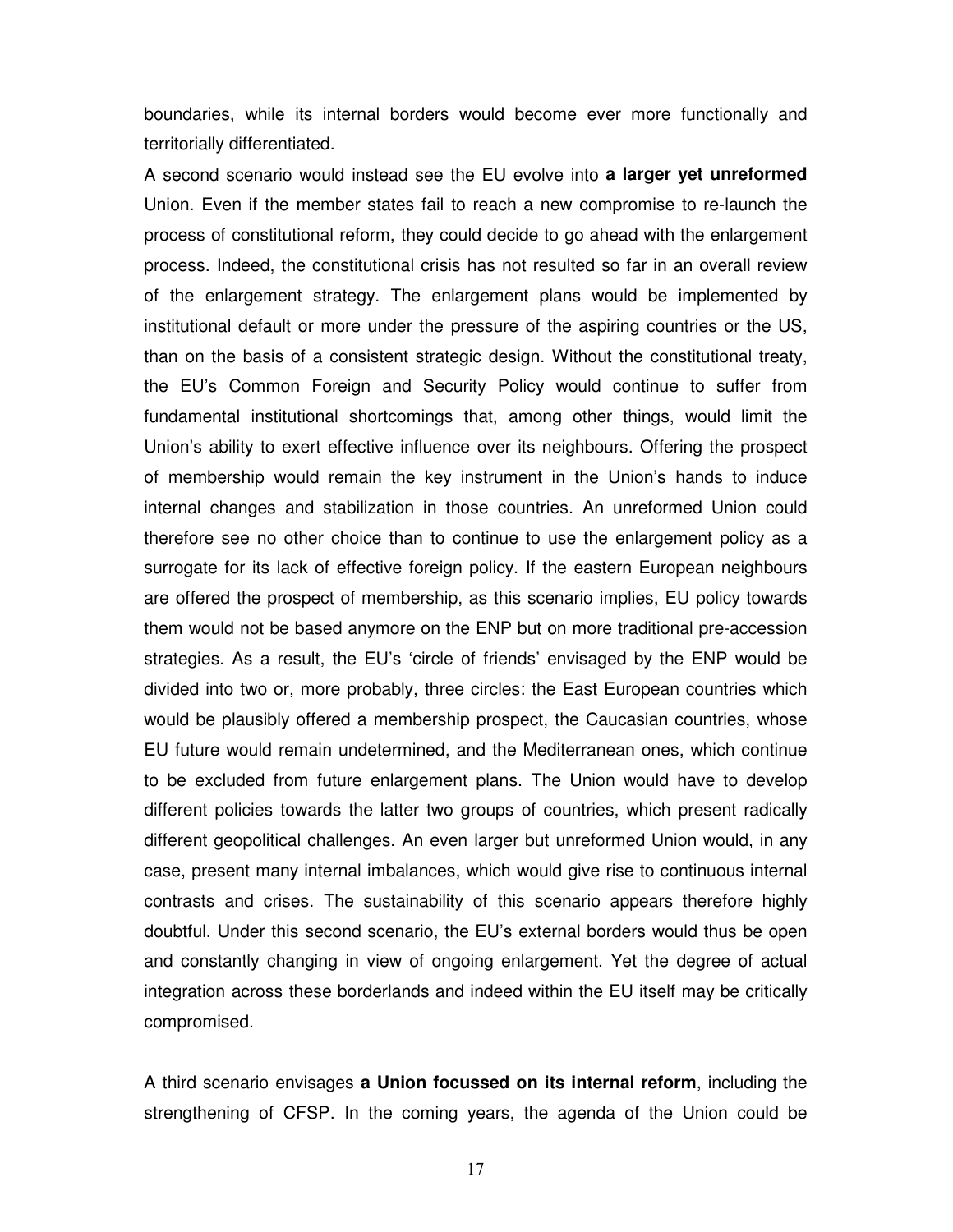boundaries, while its internal borders would become ever more functionally and territorially differentiated.

A second scenario would instead see the EU evolve into **a larger yet unreformed**  Union. Even if the member states fail to reach a new compromise to re-launch the process of constitutional reform, they could decide to go ahead with the enlargement process. Indeed, the constitutional crisis has not resulted so far in an overall review of the enlargement strategy. The enlargement plans would be implemented by institutional default or more under the pressure of the aspiring countries or the US, than on the basis of a consistent strategic design. Without the constitutional treaty, the EU's Common Foreign and Security Policy would continue to suffer from fundamental institutional shortcomings that, among other things, would limit the Union's ability to exert effective influence over its neighbours. Offering the prospect of membership would remain the key instrument in the Union's hands to induce internal changes and stabilization in those countries. An unreformed Union could therefore see no other choice than to continue to use the enlargement policy as a surrogate for its lack of effective foreign policy. If the eastern European neighbours are offered the prospect of membership, as this scenario implies, EU policy towards them would not be based anymore on the ENP but on more traditional pre-accession strategies. As a result, the EU's 'circle of friends' envisaged by the ENP would be divided into two or, more probably, three circles: the East European countries which would be plausibly offered a membership prospect, the Caucasian countries, whose EU future would remain undetermined, and the Mediterranean ones, which continue to be excluded from future enlargement plans. The Union would have to develop different policies towards the latter two groups of countries, which present radically different geopolitical challenges. An even larger but unreformed Union would, in any case, present many internal imbalances, which would give rise to continuous internal contrasts and crises. The sustainability of this scenario appears therefore highly doubtful. Under this second scenario, the EU's external borders would thus be open and constantly changing in view of ongoing enlargement. Yet the degree of actual integration across these borderlands and indeed within the EU itself may be critically compromised.

A third scenario envisages **a Union focussed on its internal reform**, including the strengthening of CFSP. In the coming years, the agenda of the Union could be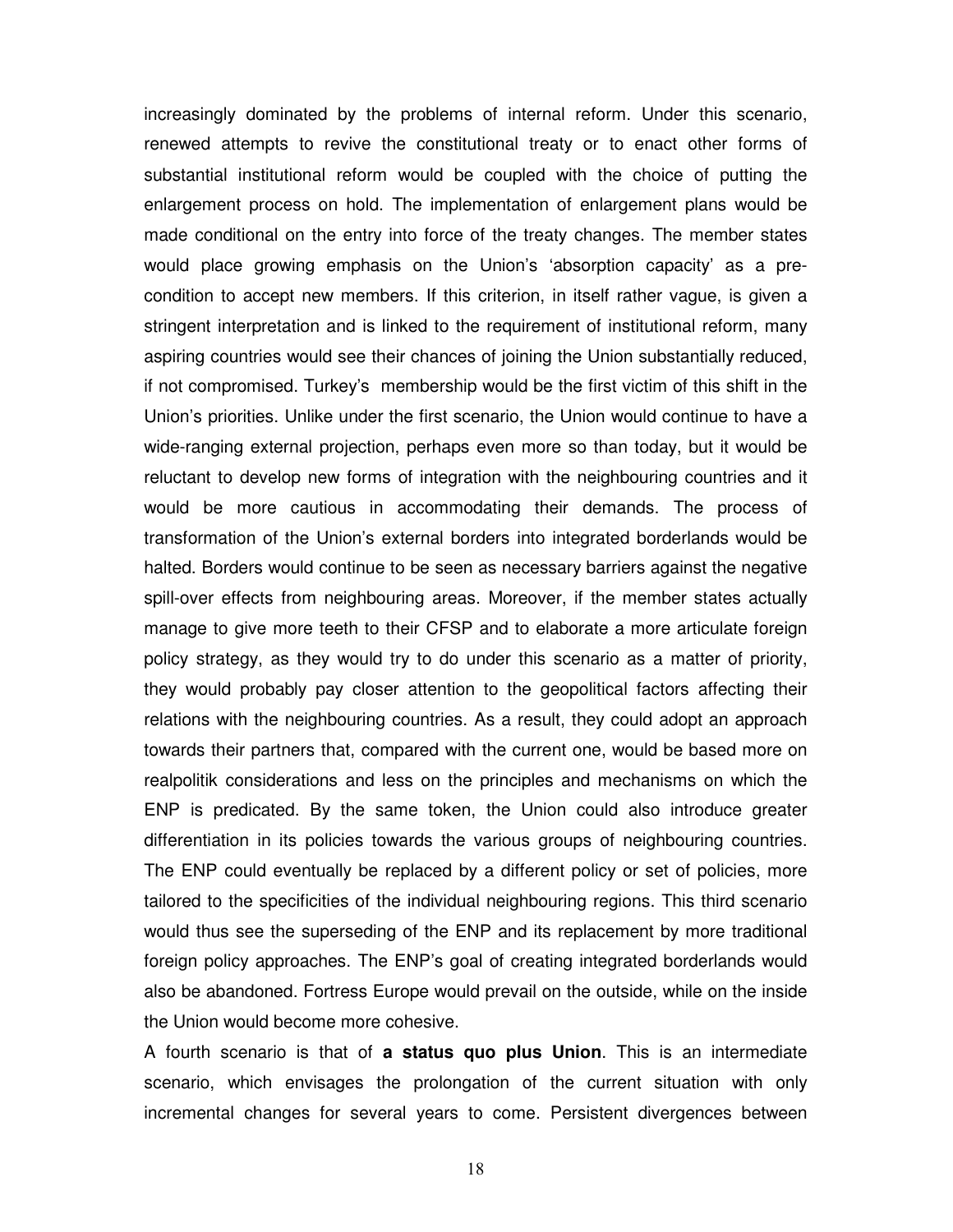increasingly dominated by the problems of internal reform. Under this scenario, renewed attempts to revive the constitutional treaty or to enact other forms of substantial institutional reform would be coupled with the choice of putting the enlargement process on hold. The implementation of enlargement plans would be made conditional on the entry into force of the treaty changes. The member states would place growing emphasis on the Union's 'absorption capacity' as a precondition to accept new members. If this criterion, in itself rather vague, is given a stringent interpretation and is linked to the requirement of institutional reform, many aspiring countries would see their chances of joining the Union substantially reduced, if not compromised. Turkey's membership would be the first victim of this shift in the Union's priorities. Unlike under the first scenario, the Union would continue to have a wide-ranging external projection, perhaps even more so than today, but it would be reluctant to develop new forms of integration with the neighbouring countries and it would be more cautious in accommodating their demands. The process of transformation of the Union's external borders into integrated borderlands would be halted. Borders would continue to be seen as necessary barriers against the negative spill-over effects from neighbouring areas. Moreover, if the member states actually manage to give more teeth to their CFSP and to elaborate a more articulate foreign policy strategy, as they would try to do under this scenario as a matter of priority, they would probably pay closer attention to the geopolitical factors affecting their relations with the neighbouring countries. As a result, they could adopt an approach towards their partners that, compared with the current one, would be based more on realpolitik considerations and less on the principles and mechanisms on which the ENP is predicated. By the same token, the Union could also introduce greater differentiation in its policies towards the various groups of neighbouring countries. The ENP could eventually be replaced by a different policy or set of policies, more tailored to the specificities of the individual neighbouring regions. This third scenario would thus see the superseding of the ENP and its replacement by more traditional foreign policy approaches. The ENP's goal of creating integrated borderlands would also be abandoned. Fortress Europe would prevail on the outside, while on the inside the Union would become more cohesive.

A fourth scenario is that of **a status quo plus Union**. This is an intermediate scenario, which envisages the prolongation of the current situation with only incremental changes for several years to come. Persistent divergences between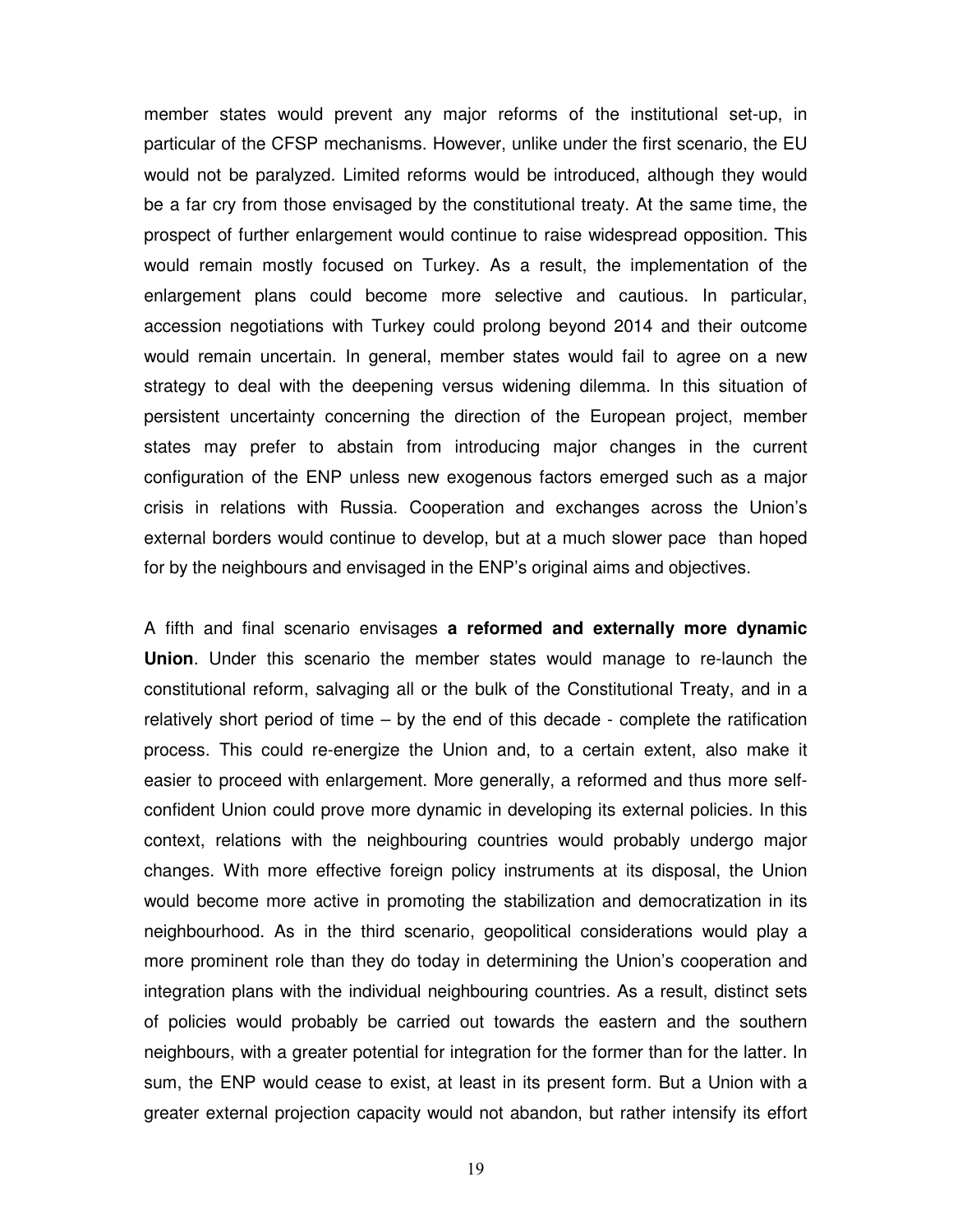member states would prevent any major reforms of the institutional set-up, in particular of the CFSP mechanisms. However, unlike under the first scenario, the EU would not be paralyzed. Limited reforms would be introduced, although they would be a far cry from those envisaged by the constitutional treaty. At the same time, the prospect of further enlargement would continue to raise widespread opposition. This would remain mostly focused on Turkey. As a result, the implementation of the enlargement plans could become more selective and cautious. In particular, accession negotiations with Turkey could prolong beyond 2014 and their outcome would remain uncertain. In general, member states would fail to agree on a new strategy to deal with the deepening versus widening dilemma. In this situation of persistent uncertainty concerning the direction of the European project, member states may prefer to abstain from introducing major changes in the current configuration of the ENP unless new exogenous factors emerged such as a major crisis in relations with Russia. Cooperation and exchanges across the Union's external borders would continue to develop, but at a much slower pace than hoped for by the neighbours and envisaged in the ENP's original aims and objectives.

A fifth and final scenario envisages **a reformed and externally more dynamic Union**. Under this scenario the member states would manage to re-launch the constitutional reform, salvaging all or the bulk of the Constitutional Treaty, and in a relatively short period of time – by the end of this decade - complete the ratification process. This could re-energize the Union and, to a certain extent, also make it easier to proceed with enlargement. More generally, a reformed and thus more selfconfident Union could prove more dynamic in developing its external policies. In this context, relations with the neighbouring countries would probably undergo major changes. With more effective foreign policy instruments at its disposal, the Union would become more active in promoting the stabilization and democratization in its neighbourhood. As in the third scenario, geopolitical considerations would play a more prominent role than they do today in determining the Union's cooperation and integration plans with the individual neighbouring countries. As a result, distinct sets of policies would probably be carried out towards the eastern and the southern neighbours, with a greater potential for integration for the former than for the latter. In sum, the ENP would cease to exist, at least in its present form. But a Union with a greater external projection capacity would not abandon, but rather intensify its effort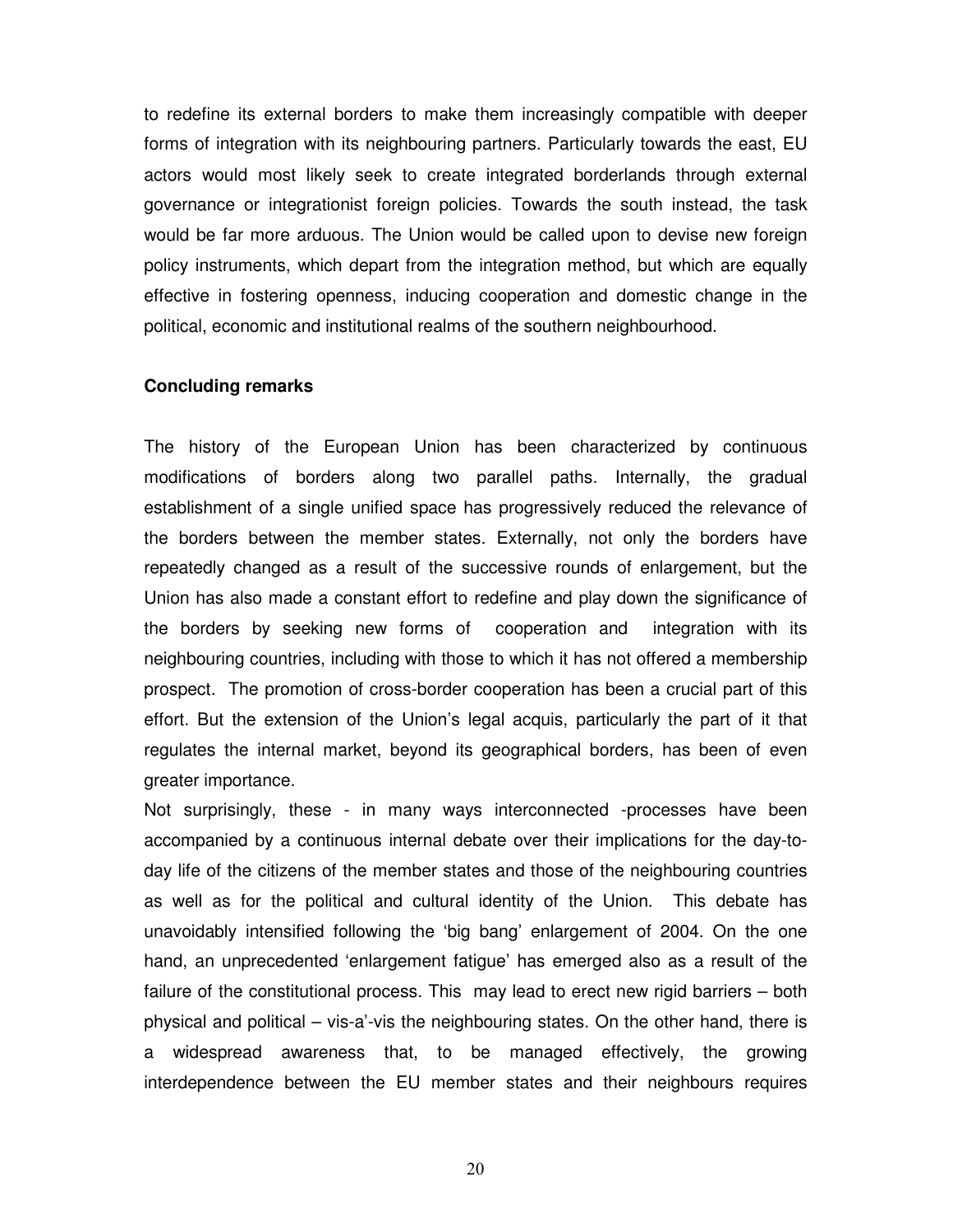to redefine its external borders to make them increasingly compatible with deeper forms of integration with its neighbouring partners. Particularly towards the east, EU actors would most likely seek to create integrated borderlands through external governance or integrationist foreign policies. Towards the south instead, the task would be far more arduous. The Union would be called upon to devise new foreign policy instruments, which depart from the integration method, but which are equally effective in fostering openness, inducing cooperation and domestic change in the political, economic and institutional realms of the southern neighbourhood.

#### **Concluding remarks**

The history of the European Union has been characterized by continuous modifications of borders along two parallel paths. Internally, the gradual establishment of a single unified space has progressively reduced the relevance of the borders between the member states. Externally, not only the borders have repeatedly changed as a result of the successive rounds of enlargement, but the Union has also made a constant effort to redefine and play down the significance of the borders by seeking new forms of cooperation and integration with its neighbouring countries, including with those to which it has not offered a membership prospect. The promotion of cross-border cooperation has been a crucial part of this effort. But the extension of the Union's legal acquis, particularly the part of it that regulates the internal market, beyond its geographical borders, has been of even greater importance.

Not surprisingly, these - in many ways interconnected -processes have been accompanied by a continuous internal debate over their implications for the day-today life of the citizens of the member states and those of the neighbouring countries as well as for the political and cultural identity of the Union. This debate has unavoidably intensified following the 'big bang' enlargement of 2004. On the one hand, an unprecedented 'enlargement fatigue' has emerged also as a result of the failure of the constitutional process. This may lead to erect new rigid barriers – both physical and political – vis-a'-vis the neighbouring states. On the other hand, there is a widespread awareness that, to be managed effectively, the growing interdependence between the EU member states and their neighbours requires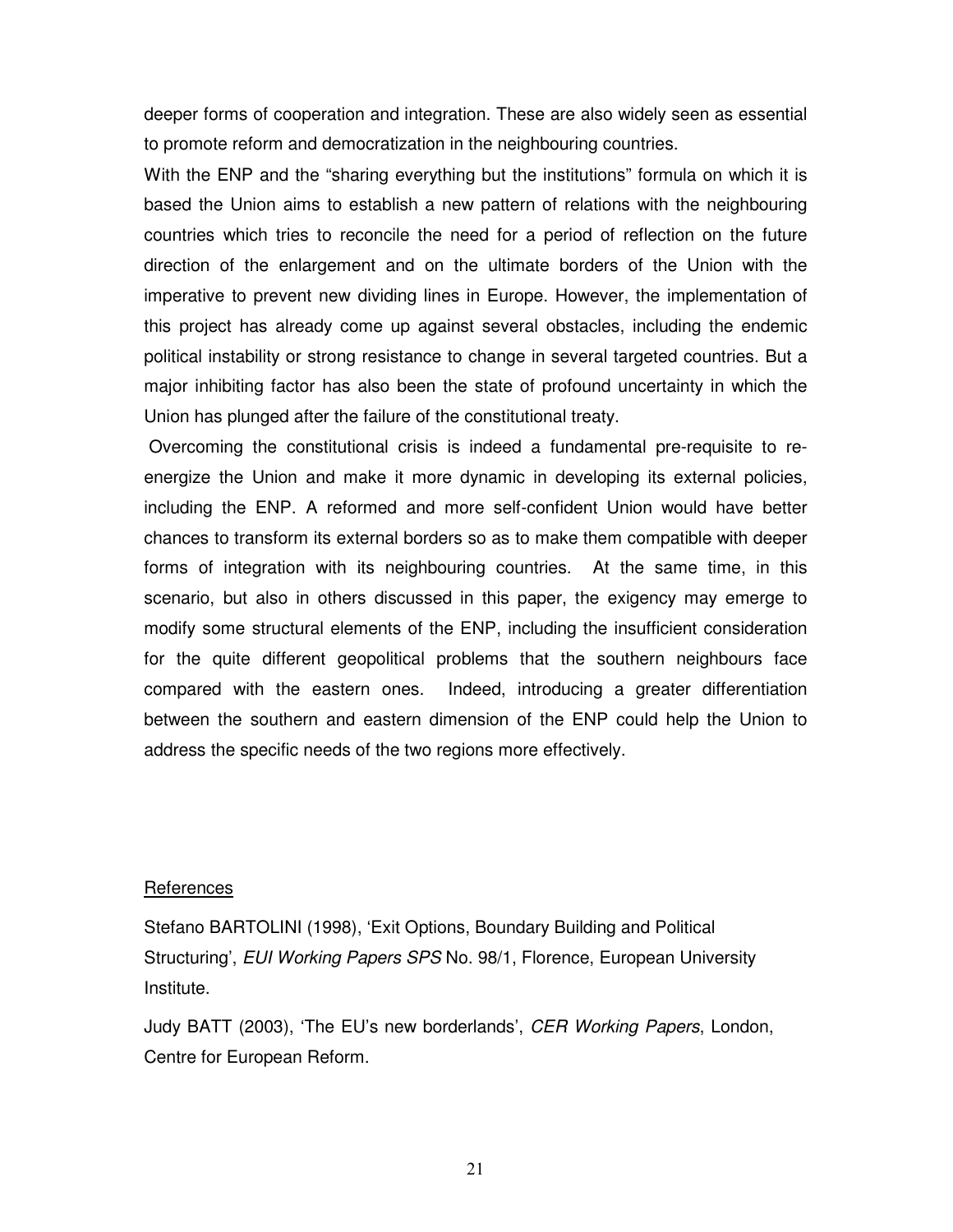deeper forms of cooperation and integration. These are also widely seen as essential to promote reform and democratization in the neighbouring countries.

With the ENP and the "sharing everything but the institutions" formula on which it is based the Union aims to establish a new pattern of relations with the neighbouring countries which tries to reconcile the need for a period of reflection on the future direction of the enlargement and on the ultimate borders of the Union with the imperative to prevent new dividing lines in Europe. However, the implementation of this project has already come up against several obstacles, including the endemic political instability or strong resistance to change in several targeted countries. But a major inhibiting factor has also been the state of profound uncertainty in which the Union has plunged after the failure of the constitutional treaty.

 Overcoming the constitutional crisis is indeed a fundamental pre-requisite to reenergize the Union and make it more dynamic in developing its external policies, including the ENP. A reformed and more self-confident Union would have better chances to transform its external borders so as to make them compatible with deeper forms of integration with its neighbouring countries. At the same time, in this scenario, but also in others discussed in this paper, the exigency may emerge to modify some structural elements of the ENP, including the insufficient consideration for the quite different geopolitical problems that the southern neighbours face compared with the eastern ones. Indeed, introducing a greater differentiation between the southern and eastern dimension of the ENP could help the Union to address the specific needs of the two regions more effectively.

#### **References**

Stefano BARTOLINI (1998), 'Exit Options, Boundary Building and Political Structuring', EUI Working Papers SPS No. 98/1, Florence, European University Institute.

Judy BATT (2003), 'The EU's new borderlands', CER Working Papers, London, Centre for European Reform.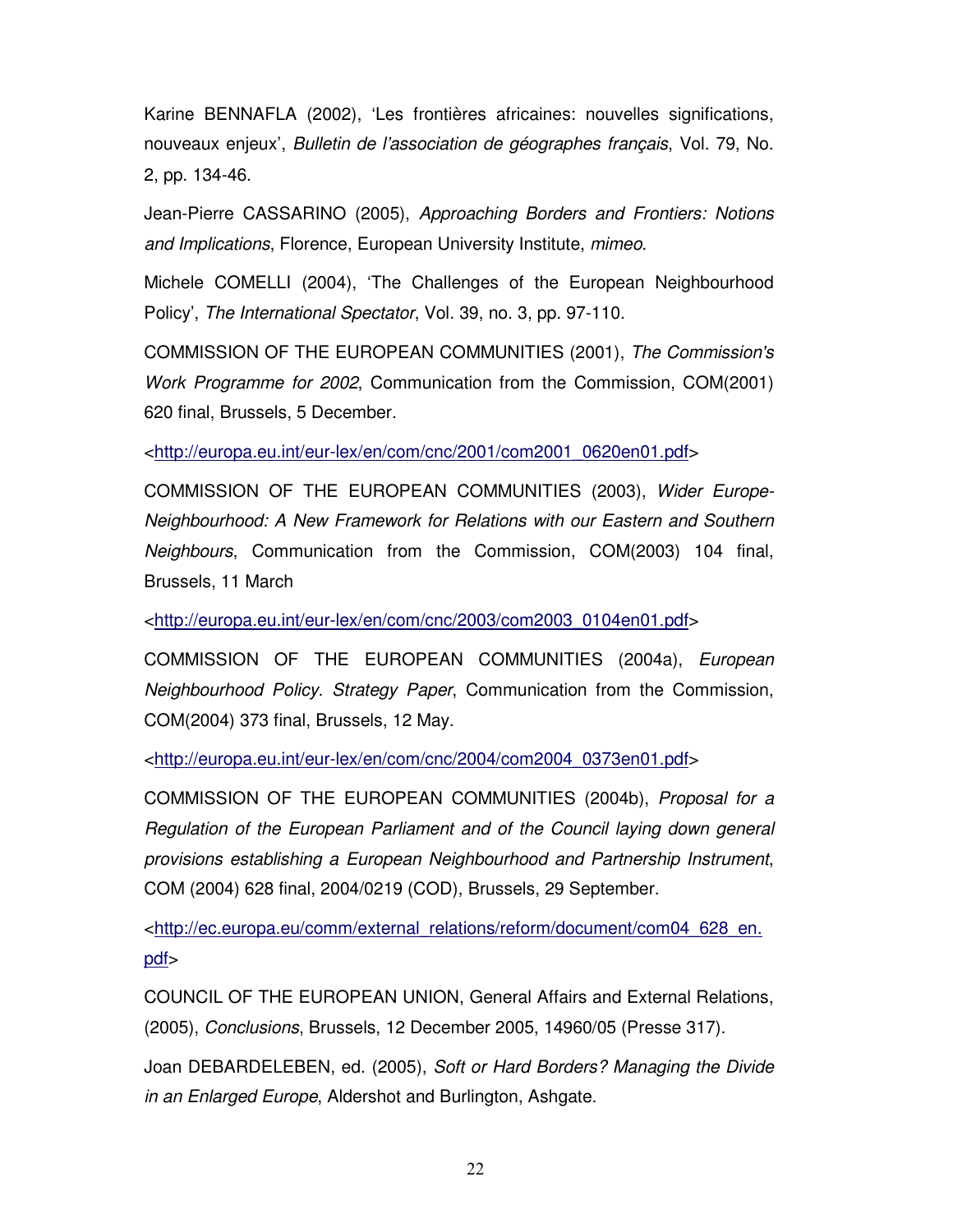Karine BENNAFLA (2002), 'Les frontières africaines: nouvelles significations, nouveaux enjeux', Bulletin de l'association de géographes français, Vol. 79, No. 2, pp. 134-46.

Jean-Pierre CASSARINO (2005), Approaching Borders and Frontiers: Notions and Implications, Florence, European University Institute, mimeo.

Michele COMELLI (2004), 'The Challenges of the European Neighbourhood Policy', The International Spectator, Vol. 39, no. 3, pp. 97-110.

COMMISSION OF THE EUROPEAN COMMUNITIES (2001), The Commission's Work Programme for 2002, Communication from the Commission, COM(2001) 620 final, Brussels, 5 December.

<http://europa.eu.int/eur-lex/en/com/cnc/2001/com2001\_0620en01.pdf>

COMMISSION OF THE EUROPEAN COMMUNITIES (2003), Wider Europe-Neighbourhood: A New Framework for Relations with our Eastern and Southern Neighbours, Communication from the Commission, COM(2003) 104 final, Brussels, 11 March

<http://europa.eu.int/eur-lex/en/com/cnc/2003/com2003\_0104en01.pdf>

COMMISSION OF THE EUROPEAN COMMUNITIES (2004a), European Neighbourhood Policy. Strategy Paper, Communication from the Commission, COM(2004) 373 final, Brussels, 12 May.

<http://europa.eu.int/eur-lex/en/com/cnc/2004/com2004\_0373en01.pdf>

COMMISSION OF THE EUROPEAN COMMUNITIES (2004b), Proposal for a Regulation of the European Parliament and of the Council laying down general provisions establishing a European Neighbourhood and Partnership Instrument, COM (2004) 628 final, 2004/0219 (COD), Brussels, 29 September.

<http://ec.europa.eu/comm/external\_relations/reform/document/com04\_628\_en. pdf>

COUNCIL OF THE EUROPEAN UNION, General Affairs and External Relations, (2005), Conclusions, Brussels, 12 December 2005, 14960/05 (Presse 317).

Joan DEBARDELEBEN, ed. (2005), Soft or Hard Borders? Managing the Divide in an Enlarged Europe, Aldershot and Burlington, Ashgate.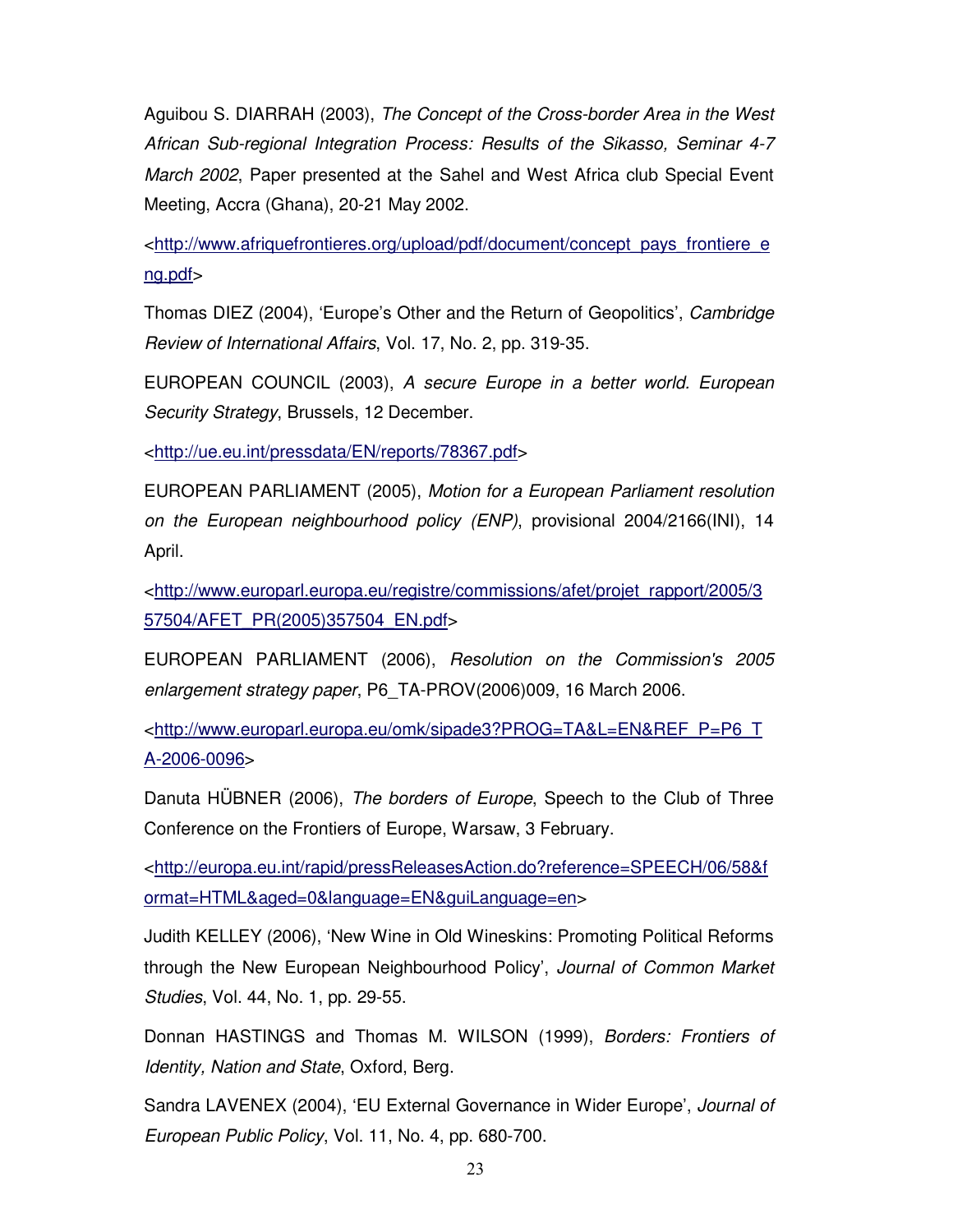Aguibou S. DIARRAH (2003), The Concept of the Cross-border Area in the West African Sub-regional Integration Process: Results of the Sikasso, Seminar 4-7 March 2002, Paper presented at the Sahel and West Africa club Special Event Meeting, Accra (Ghana), 20-21 May 2002.

<http://www.afriquefrontieres.org/upload/pdf/document/concept\_pays\_frontiere\_e ng.pdf>

Thomas DIEZ (2004), 'Europe's Other and the Return of Geopolitics', Cambridge Review of International Affairs, Vol. 17, No. 2, pp. 319-35.

EUROPEAN COUNCIL (2003), A secure Europe in a better world. European Security Strategy, Brussels, 12 December.

<http://ue.eu.int/pressdata/EN/reports/78367.pdf>

EUROPEAN PARLIAMENT (2005), Motion for a European Parliament resolution on the European neighbourhood policy (ENP), provisional 2004/2166(INI), 14 April.

<http://www.europarl.europa.eu/registre/commissions/afet/projet\_rapport/2005/3 57504/AFET\_PR(2005)357504\_EN.pdf>

EUROPEAN PARLIAMENT (2006), Resolution on the Commission's 2005 enlargement strategy paper, P6\_TA-PROV(2006)009, 16 March 2006.

<http://www.europarl.europa.eu/omk/sipade3?PROG=TA&L=EN&REF\_P=P6\_T A-2006-0096>

Danuta HÜBNER (2006), The borders of Europe, Speech to the Club of Three Conference on the Frontiers of Europe, Warsaw, 3 February.

<http://europa.eu.int/rapid/pressReleasesAction.do?reference=SPEECH/06/58&f ormat=HTML&aged=0&language=EN&guiLanguage=en>

Judith KELLEY (2006), 'New Wine in Old Wineskins: Promoting Political Reforms through the New European Neighbourhood Policy', Journal of Common Market Studies, Vol. 44, No. 1, pp. 29-55.

Donnan HASTINGS and Thomas M. WILSON (1999), Borders: Frontiers of Identity, Nation and State, Oxford, Berg.

Sandra LAVENEX (2004), 'EU External Governance in Wider Europe', Journal of European Public Policy, Vol. 11, No. 4, pp. 680-700.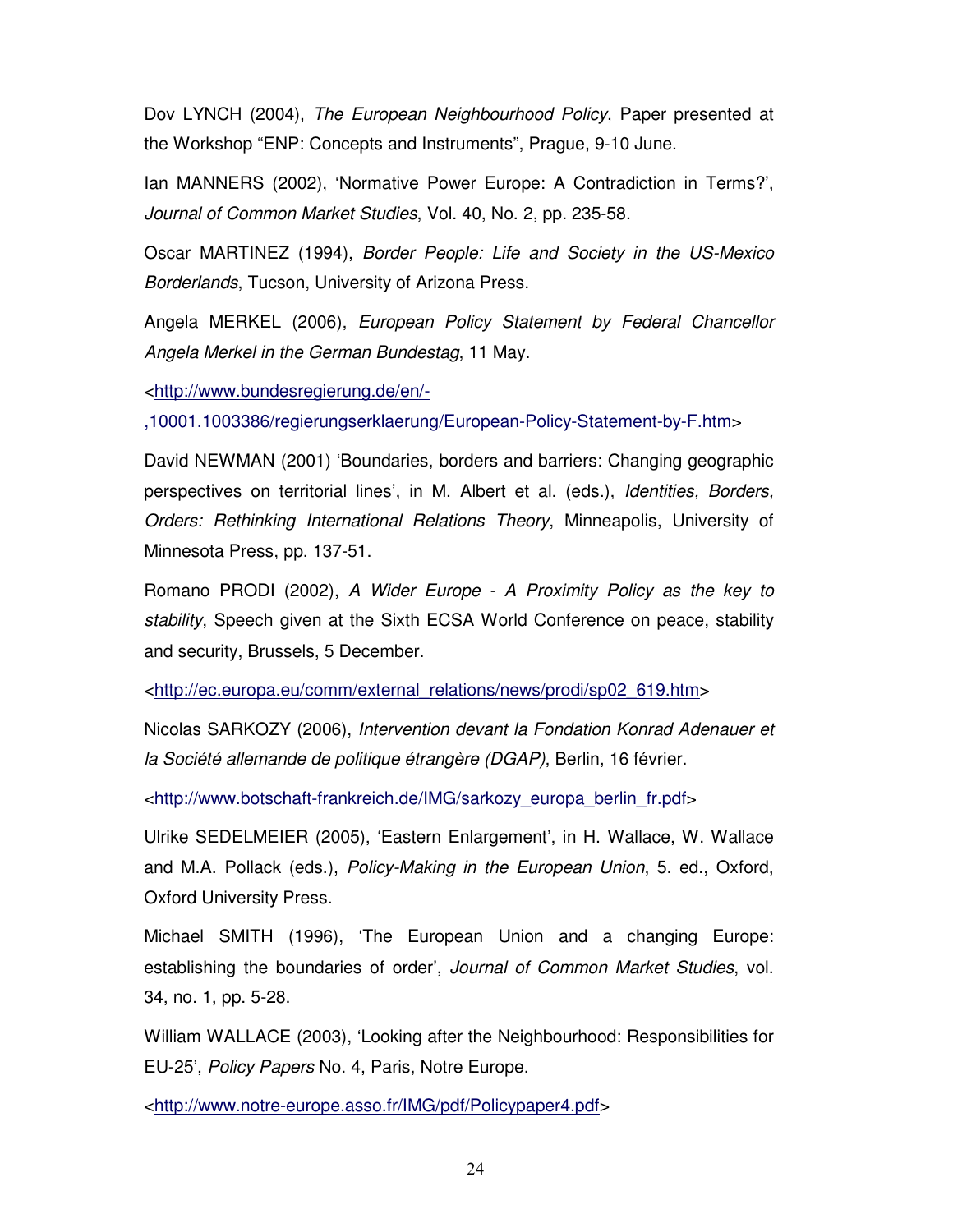Dov LYNCH (2004), The European Neighbourhood Policy, Paper presented at the Workshop "ENP: Concepts and Instruments", Prague, 9-10 June.

Ian MANNERS (2002), 'Normative Power Europe: A Contradiction in Terms?', Journal of Common Market Studies, Vol. 40, No. 2, pp. 235-58.

Oscar MARTINEZ (1994), Border People: Life and Society in the US-Mexico Borderlands, Tucson, University of Arizona Press.

Angela MERKEL (2006), European Policy Statement by Federal Chancellor Angela Merkel in the German Bundestag, 11 May.

<http://www.bundesregierung.de/en/-

,10001.1003386/regierungserklaerung/European-Policy-Statement-by-F.htm>

David NEWMAN (2001) 'Boundaries, borders and barriers: Changing geographic perspectives on territorial lines', in M. Albert et al. (eds.), Identities, Borders, Orders: Rethinking International Relations Theory, Minneapolis, University of Minnesota Press, pp. 137-51.

Romano PRODI (2002), A Wider Europe - A Proximity Policy as the key to stability, Speech given at the Sixth ECSA World Conference on peace, stability and security, Brussels, 5 December.

<http://ec.europa.eu/comm/external\_relations/news/prodi/sp02\_619.htm>

Nicolas SARKOZY (2006), Intervention devant la Fondation Konrad Adenauer et la Société allemande de politique étrangère (DGAP), Berlin, 16 février.

<http://www.botschaft-frankreich.de/IMG/sarkozy\_europa\_berlin\_fr.pdf>

Ulrike SEDELMEIER (2005), 'Eastern Enlargement', in H. Wallace, W. Wallace and M.A. Pollack (eds.), Policy-Making in the European Union, 5. ed., Oxford, Oxford University Press.

Michael SMITH (1996), 'The European Union and a changing Europe: establishing the boundaries of order', Journal of Common Market Studies, vol. 34, no. 1, pp. 5-28.

William WALLACE (2003), 'Looking after the Neighbourhood: Responsibilities for EU-25', Policy Papers No. 4, Paris, Notre Europe.

<http://www.notre-europe.asso.fr/IMG/pdf/Policypaper4.pdf>